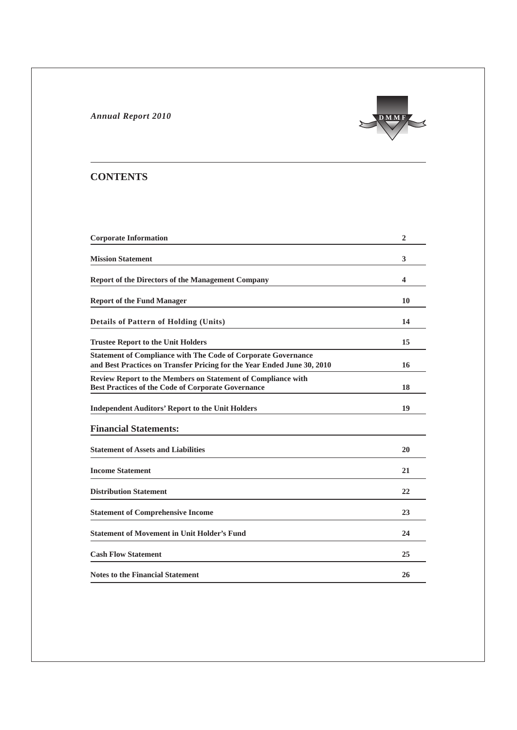

# **CONTENTS**

| <b>Corporate Information</b>                                                                                                                    | $\overline{2}$ |
|-------------------------------------------------------------------------------------------------------------------------------------------------|----------------|
| <b>Mission Statement</b>                                                                                                                        | 3              |
| <b>Report of the Directors of the Management Company</b>                                                                                        | 4              |
| <b>Report of the Fund Manager</b>                                                                                                               | 10             |
| <b>Details of Pattern of Holding (Units)</b>                                                                                                    | 14             |
| <b>Trustee Report to the Unit Holders</b>                                                                                                       | 15             |
| <b>Statement of Compliance with The Code of Corporate Governance</b><br>and Best Practices on Transfer Pricing for the Year Ended June 30, 2010 | 16             |
| Review Report to the Members on Statement of Compliance with<br><b>Best Practices of the Code of Corporate Governance</b>                       | 18             |
| <b>Independent Auditors' Report to the Unit Holders</b>                                                                                         | 19             |
| <b>Financial Statements:</b>                                                                                                                    |                |
| <b>Statement of Assets and Liabilities</b>                                                                                                      | 20             |
| <b>Income Statement</b>                                                                                                                         | 21             |
| <b>Distribution Statement</b>                                                                                                                   | 22             |
| <b>Statement of Comprehensive Income</b>                                                                                                        | 23             |
| <b>Statement of Movement in Unit Holder's Fund</b>                                                                                              | 24             |
| <b>Cash Flow Statement</b>                                                                                                                      | 25             |
| <b>Notes to the Financial Statement</b>                                                                                                         | 26             |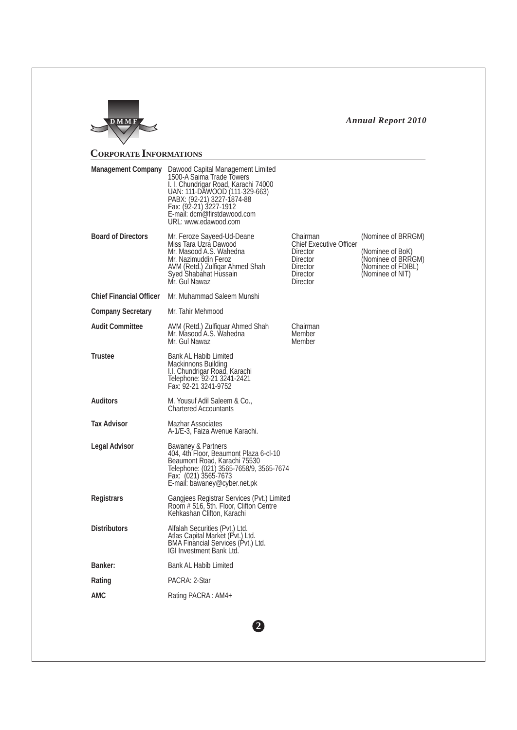

**DMMF** *Annual Report 2010*

# **CORPORATE INFORMATIONS**

| <b>Management Company</b>      | Dawood Capital Management Limited<br>1500-A Saima Trade Towers<br>I. I. Chundrigar Road, Karachi 74000<br>UAN: 111-DAWOOD (111-329-663)<br>PABX: (92-21) 3227-1874-88<br>Fax: (92-21) 3227-1912<br>E-mail: dcm@firstdawood.com<br>URL: www.edawood.com |                                                                                                        |                                                                                                        |
|--------------------------------|--------------------------------------------------------------------------------------------------------------------------------------------------------------------------------------------------------------------------------------------------------|--------------------------------------------------------------------------------------------------------|--------------------------------------------------------------------------------------------------------|
| <b>Board of Directors</b>      | Mr. Feroze Sayeed-Ud-Deane<br>Miss Tara Uzra Dawood<br>Mr. Masood A.S. Wahedna<br>Mr. Nazimuddin Feroz<br>AVM (Retd.) Zulfiqar Ahmed Shah<br>Syed Shabahat Hussain<br>Mr. Gul Nawaz                                                                    | Chairman<br><b>Chief Executive Officer</b><br>Director<br>Director<br>Director<br>Director<br>Director | (Nominee of BRRGM)<br>(Nominee of BoK)<br>(Nominee of BRRGM)<br>(Nominee of FDIBL)<br>(Nominee of NIT) |
| <b>Chief Financial Officer</b> | Mr. Muhammad Saleem Munshi                                                                                                                                                                                                                             |                                                                                                        |                                                                                                        |
| <b>Company Secretary</b>       | Mr. Tahir Mehmood                                                                                                                                                                                                                                      |                                                                                                        |                                                                                                        |
| <b>Audit Committee</b>         | AVM (Retd.) Zulfiquar Ahmed Shah<br>Mr. Masood A.S. Wahedna<br>Mr. Gul Nawaz                                                                                                                                                                           | Chairman<br>Member<br>Member                                                                           |                                                                                                        |
| <b>Trustee</b>                 | Bank AL Habib Limited<br>Mackinnons Building<br>I.I. Chundrigar Road, Karachi<br>Telephone: 92-21 3241-2421<br>Fax: 92-21 3241-9752                                                                                                                    |                                                                                                        |                                                                                                        |
| <b>Auditors</b>                | M. Yousuf Adil Saleem & Co.,<br><b>Chartered Accountants</b>                                                                                                                                                                                           |                                                                                                        |                                                                                                        |
| <b>Tax Advisor</b>             | <b>Mazhar Associates</b><br>A-1/E-3, Faiza Avenue Karachi.                                                                                                                                                                                             |                                                                                                        |                                                                                                        |
| Legal Advisor                  | Bawaney & Partners<br>404, 4th Floor, Beaumont Plaza 6-cl-10<br>Beaumont Road, Karachi 75530<br>Telephone: (021) 3565-7658/9, 3565-7674<br>Fax: (021) 3565-7673<br>E-mail: bawaney@cyber.net.pk                                                        |                                                                                                        |                                                                                                        |
| <b>Registrars</b>              | Gangjees Registrar Services (Pvt.) Limited<br>Room # 516, 5th. Floor, Clifton Centre<br>Kehkashan Clifton, Karachi                                                                                                                                     |                                                                                                        |                                                                                                        |
| <b>Distributors</b>            | Alfalah Securities (Pvt.) Ltd.<br>Atlas Capital Market (Pvt.) Ltd.<br>BMA Financial Services (Pvt.) Ltd.<br><b>IGI Investment Bank Ltd.</b>                                                                                                            |                                                                                                        |                                                                                                        |
| Banker:                        | Bank AL Habib Limited                                                                                                                                                                                                                                  |                                                                                                        |                                                                                                        |
| Rating                         | PACRA: 2-Star                                                                                                                                                                                                                                          |                                                                                                        |                                                                                                        |
| AMC                            | Rating PACRA : AM4+                                                                                                                                                                                                                                    |                                                                                                        |                                                                                                        |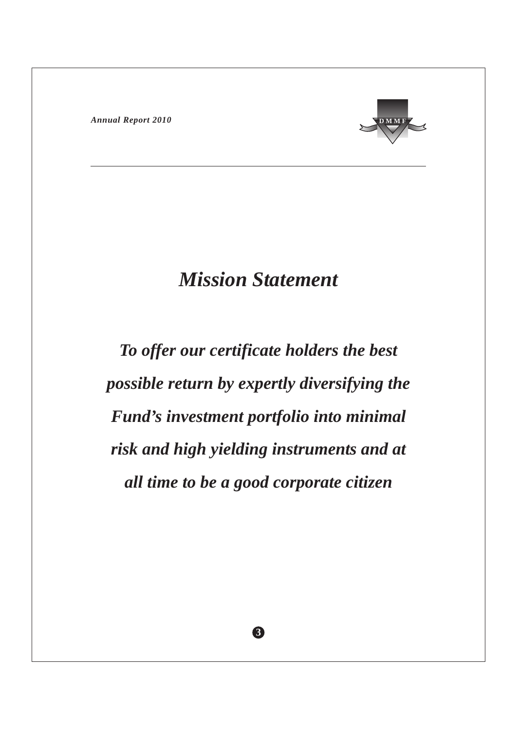

# *Mission Statement*

*To offer our certificate holders the best possible return by expertly diversifying the Fund's investment portfolio into minimal risk and high yielding instruments and at all time to be a good corporate citizen*

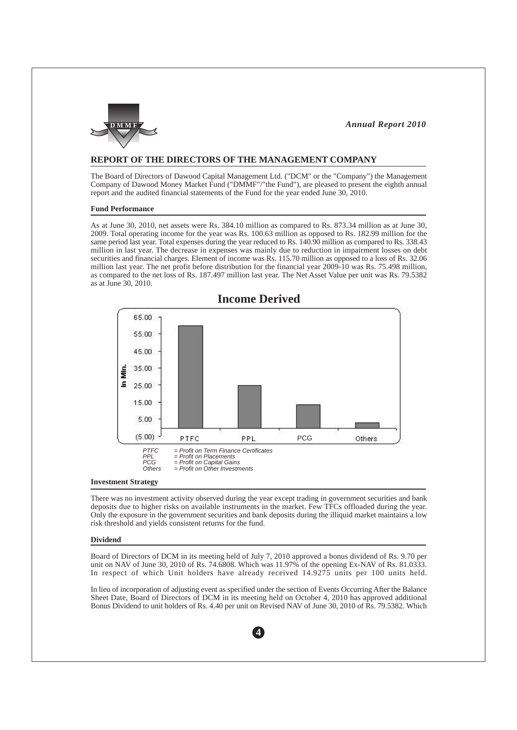

#### **REPORT OF THE DIRECTORS OF THE MANAGEMENT COMPANY**

The Board of Directors of Dawood Capital Management Ltd. ("DCM" or the "Company") the Management Company of Dawood Money Market Fund ("DMMF"/"the Fund"), are pleased to present the eighth annual report and the audited financial statements of the Fund for the year ended June 30, 2010.

#### **Fund Performance**

As at June 30, 2010, net assets were Rs. 384.10 million as compared to Rs. 873.34 million as at June 30, 2009. Total operating income for the year was Rs. 100.63 million as opposed to Rs. 182.99 million for the same period last year. Total expenses during the year reduced to Rs. 140.90 million as compared to Rs. 338.43 million in last year. The decrease in expenses was mainly due to reduction in impairment losses on debt securities and financial charges. Element of income was Rs. 115.70 million as opposed to a loss of Rs. 32.06 million last year. The net profit before distribution for the financial year 2009-10 was Rs. 75.498 million, as compared to the net loss of Rs. 187.497 million last year. The Net Asset Value per unit was Rs. 79.5382 as at June 30, 2010.



#### **Investment Strategy**

There was no investment activity observed during the year except trading in government securities and bank deposits due to higher risks on available instruments in the market. Few TFCs offloaded during the year. Only the exposure in the government securities and bank deposits during the illiquid market maintains a low risk threshold and yields consistent returns for the fund.

#### **Dividend**

Board of Directors of DCM in its meeting held of July 7, 2010 approved a bonus dividend of Rs. 9.70 per unit on NAV of June 30, 2010 of Rs. 74.6808. Which was 11.97% of the opening Ex-NAV of Rs. 81.0333. In respect of which Unit holders have already received 14.9275 units per 100 units held.

In lieu of incorporation of adjusting event as specified under the section of Events Occurring After the Balance Sheet Date, Board of Directors of DCM in its meeting held on October 4, 2010 has approved additional Bonus Dividend to unit holders of Rs. 4.40 per unit on Revised NAV of June 30, 2010 of Rs. 79.5382. Which

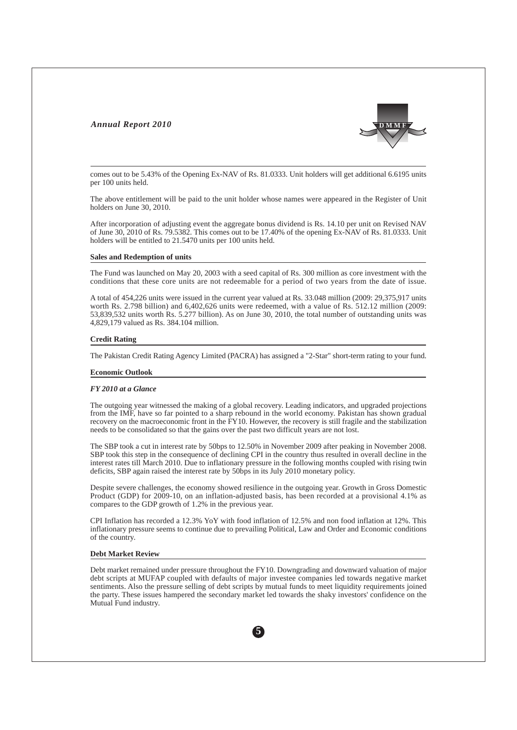

comes out to be 5.43% of the Opening Ex-NAV of Rs. 81.0333. Unit holders will get additional 6.6195 units per 100 units held.

The above entitlement will be paid to the unit holder whose names were appeared in the Register of Unit holders on June 30, 2010.

After incorporation of adjusting event the aggregate bonus dividend is Rs. 14.10 per unit on Revised NAV of June 30, 2010 of Rs. 79.5382. This comes out to be 17.40% of the opening Ex-NAV of Rs. 81.0333. Unit holders will be entitled to 21.5470 units per 100 units held.

#### **Sales and Redemption of units**

The Fund was launched on May 20, 2003 with a seed capital of Rs. 300 million as core investment with the conditions that these core units are not redeemable for a period of two years from the date of issue.

A total of 454,226 units were issued in the current year valued at Rs. 33.048 million (2009: 29,375,917 units worth Rs. 2.798 billion) and 6,402,626 units were redeemed, with a value of Rs. 512.12 million (2009: 53,839,532 units worth Rs. 5.277 billion). As on June 30, 2010, the total number of outstanding units was 4,829,179 valued as Rs. 384.104 million.

#### **Credit Rating**

The Pakistan Credit Rating Agency Limited (PACRA) has assigned a "2-Star" short-term rating to your fund.

#### **Economic Outlook**

#### *FY 2010 at a Glance*

The outgoing year witnessed the making of a global recovery. Leading indicators, and upgraded projections from the IMF, have so far pointed to a sharp rebound in the world economy. Pakistan has shown gradual recovery on the macroeconomic front in the FY10. However, the recovery is still fragile and the stabilization needs to be consolidated so that the gains over the past two difficult years are not lost.

The SBP took a cut in interest rate by 50bps to 12.50% in November 2009 after peaking in November 2008. SBP took this step in the consequence of declining CPI in the country thus resulted in overall decline in the interest rates till March 2010. Due to inflationary pressure in the following months coupled with rising twin deficits, SBP again raised the interest rate by 50bps in its July 2010 monetary policy.

Despite severe challenges, the economy showed resilience in the outgoing year. Growth in Gross Domestic Product (GDP) for 2009-10, on an inflation-adjusted basis, has been recorded at a provisional 4.1% as compares to the GDP growth of 1.2% in the previous year.

CPI Inflation has recorded a 12.3% YoY with food inflation of 12.5% and non food inflation at 12%. This inflationary pressure seems to continue due to prevailing Political, Law and Order and Economic conditions of the country.

#### **Debt Market Review**

Debt market remained under pressure throughout the FY10. Downgrading and downward valuation of major debt scripts at MUFAP coupled with defaults of major investee companies led towards negative market sentiments. Also the pressure selling of debt scripts by mutual funds to meet liquidity requirements joined the party. These issues hampered the secondary market led towards the shaky investors' confidence on the Mutual Fund industry.

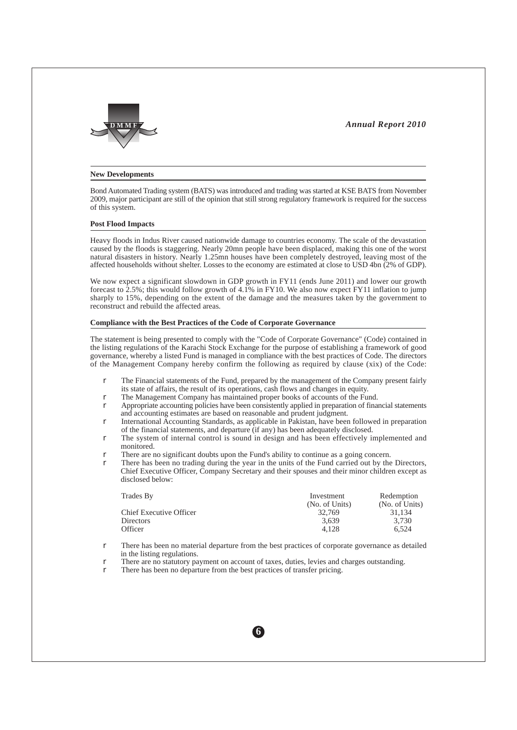

#### **New Developments**

Bond Automated Trading system (BATS) was introduced and trading was started at KSE BATS from November 2009, major participant are still of the opinion that still strong regulatory framework is required for the success of this system.

#### **Post Flood Impacts**

Heavy floods in Indus River caused nationwide damage to countries economy. The scale of the devastation caused by the floods is staggering. Nearly 20mn people have been displaced, making this one of the worst natural disasters in history. Nearly 1.25mn houses have been completely destroyed, leaving most of the affected households without shelter. Losses to the economy are estimated at close to USD 4bn (2% of GDP).

We now expect a significant slowdown in GDP growth in FY11 (ends June 2011) and lower our growth forecast to 2.5%; this would follow growth of 4.1% in FY10. We also now expect FY11 inflation to jump sharply to 15%, depending on the extent of the damage and the measures taken by the government to reconstruct and rebuild the affected areas.

#### **Compliance with the Best Practices of the Code of Corporate Governance**

The statement is being presented to comply with the "Code of Corporate Governance" (Code) contained in the listing regulations of the Karachi Stock Exchange for the purpose of establishing a framework of good governance, whereby a listed Fund is managed in compliance with the best practices of Code. The directors of the Management Company hereby confirm the following as required by clause (xix) of the Code:

- r The Financial statements of the Fund, prepared by the management of the Company present fairly its state of affairs, the result of its operations, cash flows and changes in equity.
- r The Management Company has maintained proper books of accounts of the Fund.
- r Appropriate accounting policies have been consistently applied in preparation of financial statements and accounting estimates are based on reasonable and prudent judgment.
- r International Accounting Standards, as applicable in Pakistan, have been followed in preparation of the financial statements, and departure (if any) has been adequately disclosed.
- r The system of internal control is sound in design and has been effectively implemented and monitored.
- r There are no significant doubts upon the Fund's ability to continue as a going concern.
- r There has been no trading during the year in the units of the Fund carried out by the Directors, Chief Executive Officer, Company Secretary and their spouses and their minor children except as disclosed below:

| Trades By               | Investment<br>(No. of Units) | Redemption<br>(No. of Units) |
|-------------------------|------------------------------|------------------------------|
| Chief Executive Officer | 32.769                       | 31.134                       |
| <b>Directors</b>        | 3.639                        | 3.730                        |
| Officer                 | 4.128                        | 6.524                        |

r There has been no material departure from the best practices of corporate governance as detailed in the listing regulations.

r There are no statutory payment on account of taxes, duties, levies and charges outstanding.

**6**

r There has been no departure from the best practices of transfer pricing.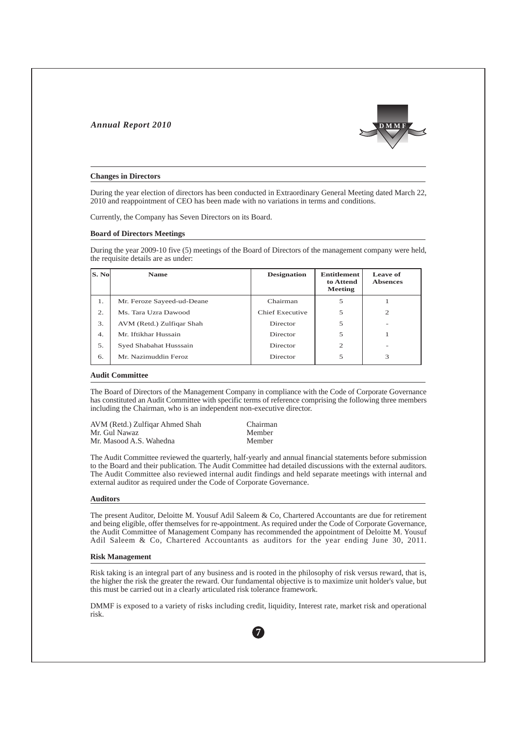

#### **Changes in Directors**

During the year election of directors has been conducted in Extraordinary General Meeting dated March 22, 2010 and reappointment of CEO has been made with no variations in terms and conditions.

Currently, the Company has Seven Directors on its Board.

#### **Board of Directors Meetings**

During the year 2009-10 five (5) meetings of the Board of Directors of the management company were held, the requisite details are as under:

| S. No | <b>Name</b>                | <b>Designation</b> | Entitlement<br>to Attend<br><b>Meeting</b> | <b>Leave of</b><br><b>Absences</b> |
|-------|----------------------------|--------------------|--------------------------------------------|------------------------------------|
| 1.    | Mr. Feroze Sayeed-ud-Deane | Chairman           | 5                                          |                                    |
| 2.    | Ms. Tara Uzra Dawood       | Chief Executive    | 5                                          | $\mathfrak{2}$                     |
| 3.    | AVM (Retd.) Zulfiqar Shah  | Director           | 5                                          |                                    |
| 4.    | Mr. Iftikhar Hussain       | Director           | 5                                          |                                    |
| 5.    | Syed Shabahat Husssain     | Director           | $\mathbf{2}$                               | -                                  |
| 6.    | Mr. Nazimuddin Feroz       | Director           | 5                                          | 3                                  |

#### **Audit Committee**

The Board of Directors of the Management Company in compliance with the Code of Corporate Governance has constituted an Audit Committee with specific terms of reference comprising the following three members including the Chairman, who is an independent non-executive director.

AVM (Retd.) Zulfiqar Ahmed Shah Chairman Mr. Gul Nawaz Mr. Masood A.S. Wahedna Member

The Audit Committee reviewed the quarterly, half-yearly and annual financial statements before submission to the Board and their publication. The Audit Committee had detailed discussions with the external auditors. The Audit Committee also reviewed internal audit findings and held separate meetings with internal and external auditor as required under the Code of Corporate Governance.

#### **Auditors**

The present Auditor, Deloitte M. Yousuf Adil Saleem & Co, Chartered Accountants are due for retirement and being eligible, offer themselves for re-appointment. As required under the Code of Corporate Governance, the Audit Committee of Management Company has recommended the appointment of Deloitte M. Yousuf Adil Saleem & Co, Chartered Accountants as auditors for the year ending June 30, 2011.

#### **Risk Management**

Risk taking is an integral part of any business and is rooted in the philosophy of risk versus reward, that is, the higher the risk the greater the reward. Our fundamental objective is to maximize unit holder's value, but this must be carried out in a clearly articulated risk tolerance framework.

DMMF is exposed to a variety of risks including credit, liquidity, Interest rate, market risk and operational risk.

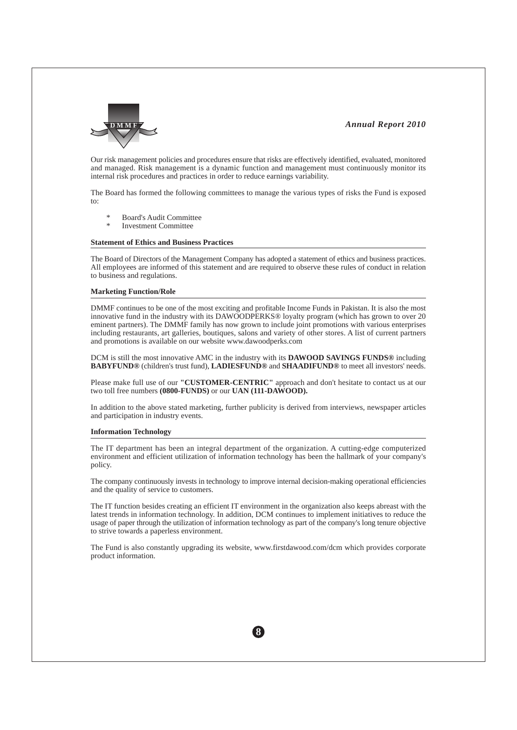

**DMMF** *Annual Report 2010*

Our risk management policies and procedures ensure that risks are effectively identified, evaluated, monitored and managed. Risk management is a dynamic function and management must continuously monitor its internal risk procedures and practices in order to reduce earnings variability.

The Board has formed the following committees to manage the various types of risks the Fund is exposed to:

- Board's Audit Committee
- \* Investment Committee

#### **Statement of Ethics and Business Practices**

The Board of Directors of the Management Company has adopted a statement of ethics and business practices. All employees are informed of this statement and are required to observe these rules of conduct in relation to business and regulations.

#### **Marketing Function/Role**

DMMF continues to be one of the most exciting and profitable Income Funds in Pakistan. It is also the most innovative fund in the industry with its DAWOODPERKS® loyalty program (which has grown to over 20 eminent partners). The DMMF family has now grown to include joint promotions with various enterprises including restaurants, art galleries, boutiques, salons and variety of other stores. A list of current partners and promotions is available on our website www.dawoodperks.com

DCM is still the most innovative AMC in the industry with its **DAWOOD SAVINGS FUNDS®** including **BABYFUND®** (children's trust fund), **LADIESFUND®** and **SHAADIFUND®** to meet all investors' needs.

Please make full use of our **"CUSTOMER-CENTRIC"** approach and don't hesitate to contact us at our two toll free numbers **(0800-FUNDS)** or our **UAN (111-DAWOOD).**

In addition to the above stated marketing, further publicity is derived from interviews, newspaper articles and participation in industry events.

#### **Information Technology**

The IT department has been an integral department of the organization. A cutting-edge computerized environment and efficient utilization of information technology has been the hallmark of your company's policy.

The company continuously invests in technology to improve internal decision-making operational efficiencies and the quality of service to customers.

The IT function besides creating an efficient IT environment in the organization also keeps abreast with the latest trends in information technology. In addition, DCM continues to implement initiatives to reduce the usage of paper through the utilization of information technology as part of the company's long tenure objective to strive towards a paperless environment.

The Fund is also constantly upgrading its website, www.firstdawood.com/dcm which provides corporate product information.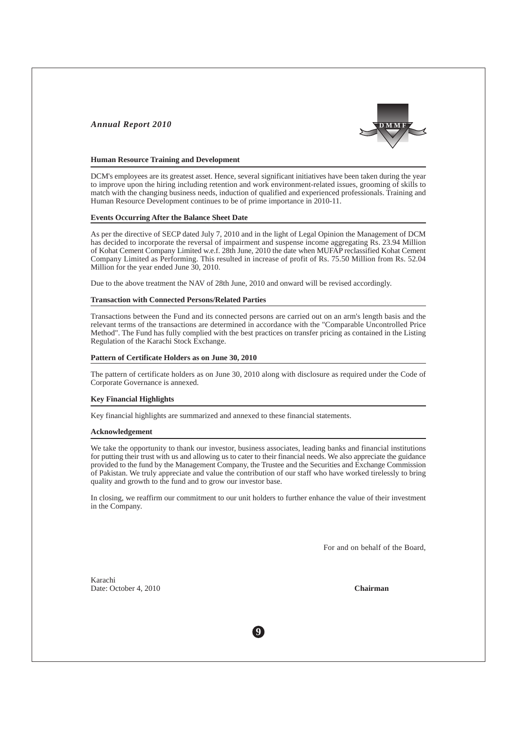

#### **Human Resource Training and Development**

DCM's employees are its greatest asset. Hence, several significant initiatives have been taken during the year to improve upon the hiring including retention and work environment-related issues, grooming of skills to match with the changing business needs, induction of qualified and experienced professionals. Training and Human Resource Development continues to be of prime importance in 2010-11.

#### **Events Occurring After the Balance Sheet Date**

As per the directive of SECP dated July 7, 2010 and in the light of Legal Opinion the Management of DCM has decided to incorporate the reversal of impairment and suspense income aggregating Rs. 23.94 Million of Kohat Cement Company Limited w.e.f. 28th June, 2010 the date when MUFAP reclassified Kohat Cement Company Limited as Performing. This resulted in increase of profit of Rs. 75.50 Million from Rs. 52.04 Million for the year ended June 30, 2010.

Due to the above treatment the NAV of 28th June, 2010 and onward will be revised accordingly.

#### **Transaction with Connected Persons/Related Parties**

Transactions between the Fund and its connected persons are carried out on an arm's length basis and the relevant terms of the transactions are determined in accordance with the "Comparable Uncontrolled Price Method". The Fund has fully complied with the best practices on transfer pricing as contained in the Listing Regulation of the Karachi Stock Exchange.

#### **Pattern of Certificate Holders as on June 30, 2010**

The pattern of certificate holders as on June 30, 2010 along with disclosure as required under the Code of Corporate Governance is annexed.

#### **Key Financial Highlights**

Key financial highlights are summarized and annexed to these financial statements.

#### **Acknowledgement**

We take the opportunity to thank our investor, business associates, leading banks and financial institutions for putting their trust with us and allowing us to cater to their financial needs. We also appreciate the guidance provided to the fund by the Management Company, the Trustee and the Securities and Exchange Commission of Pakistan. We truly appreciate and value the contribution of our staff who have worked tirelessly to bring quality and growth to the fund and to grow our investor base.

In closing, we reaffirm our commitment to our unit holders to further enhance the value of their investment in the Company.

For and on behalf of the Board,

Karachi Date: October 4, 2010 **Chairman**

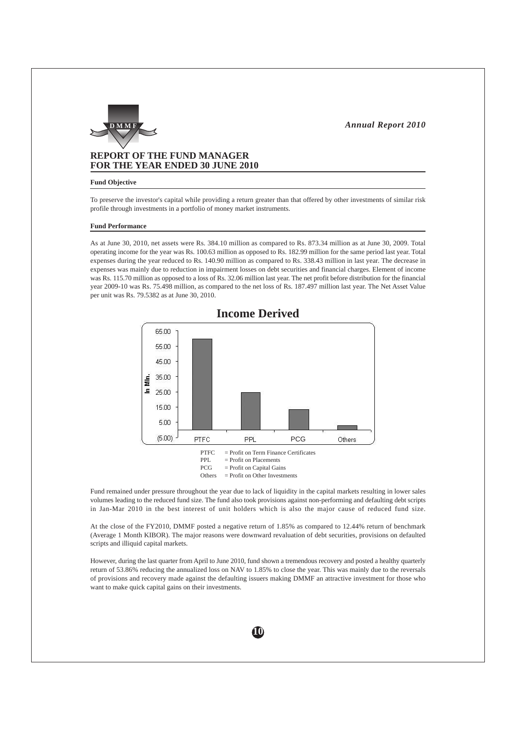

# **REPORT OF THE FUND MANAGER FOR THE YEAR ENDED 30 JUNE 2010**

#### **Fund Objective**

To preserve the investor's capital while providing a return greater than that offered by other investments of similar risk profile through investments in a portfolio of money market instruments.

#### **Fund Performance**

As at June 30, 2010, net assets were Rs. 384.10 million as compared to Rs. 873.34 million as at June 30, 2009. Total operating income for the year was Rs. 100.63 million as opposed to Rs. 182.99 million for the same period last year. Total expenses during the year reduced to Rs. 140.90 million as compared to Rs. 338.43 million in last year. The decrease in expenses was mainly due to reduction in impairment losses on debt securities and financial charges. Element of income was Rs. 115.70 million as opposed to a loss of Rs. 32.06 million last year. The net profit before distribution for the financial year 2009-10 was Rs. 75.498 million, as compared to the net loss of Rs. 187.497 million last year. The Net Asset Value per unit was Rs. 79.5382 as at June 30, 2010.



# **Income Derived**

Fund remained under pressure throughout the year due to lack of liquidity in the capital markets resulting in lower sales volumes leading to the reduced fund size. The fund also took provisions against non-performing and defaulting debt scripts in Jan-Mar 2010 in the best interest of unit holders which is also the major cause of reduced fund size.

At the close of the FY2010, DMMF posted a negative return of 1.85% as compared to 12.44% return of benchmark (Average 1 Month KIBOR). The major reasons were downward revaluation of debt securities, provisions on defaulted scripts and illiquid capital markets.

However, during the last quarter from April to June 2010, fund shown a tremendous recovery and posted a healthy quarterly return of 53.86% reducing the annualized loss on NAV to 1.85% to close the year. This was mainly due to the reversals of provisions and recovery made against the defaulting issuers making DMMF an attractive investment for those who want to make quick capital gains on their investments.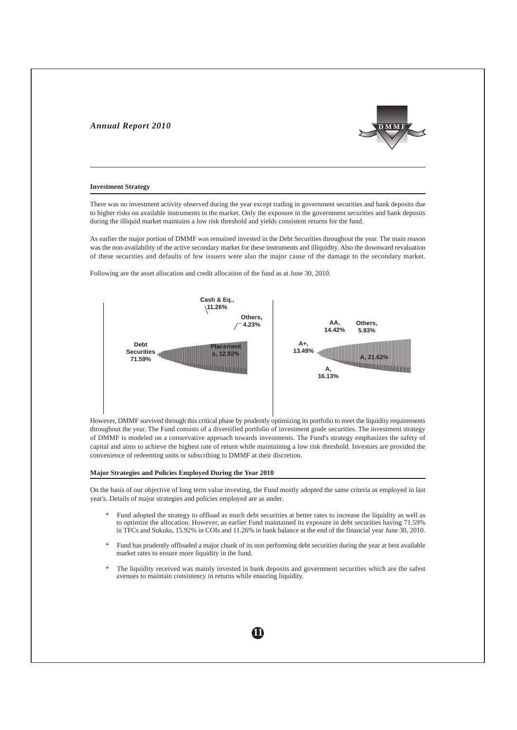

#### **Investment Strategy**

There was no investment activity observed during the year except trading in government securities and bank deposits due to higher risks on available instruments in the market. Only the exposure in the government securities and bank deposits during the illiquid market maintains a low risk threshold and yields consistent returns for the fund.

As earlier the major portion of DMMF was remained invested in the Debt Securities throughout the year. The main reason was the non-availability of the active secondary market for these instruments and illiquidity. Also the downward revaluation of these securities and defaults of few issuers were also the major cause of the damage to the secondary market.

Following are the asset allocation and credit allocation of the fund as at June 30, 2010.



However, DMMF survived through this critical phase by prudently optimizing its portfolio to meet the liquidity requirements throughout the year. The Fund consists of a diversified portfolio of investment grade securities. The investment strategy of DMMF is modeled on a conservative approach towards investments. The Fund's strategy emphasizes the safety of capital and aims to achieve the highest rate of return while maintaining a low risk threshold. Investors are provided the convenience of redeeming units or subscribing to DMMF at their discretion.

#### **Major Strategies and Policies Employed During the Year 2010**

On the basis of our objective of long term value investing, the Fund mostly adopted the same criteria as employed in last year's. Details of major strategies and policies employed are as under.

- \* Fund adopted the strategy to offload as much debt securities at better rates to increase the liquidity as well as to optimize the allocation. However, as earlier Fund maintained its exposure in debt securities having 71.59% in TFCs and Sukuks, 15.92% in COIs and 11.26% in bank balance at the end of the financial year June 30, 2010.
- Fund has prudently offloaded a major chunk of its non performing debt securities during the year at best available market rates to ensure more liquidity in the fund.
- The liquidity received was mainly invested in bank deposits and government securities which are the safest avenues to maintain consistency in returns while ensuring liquidity.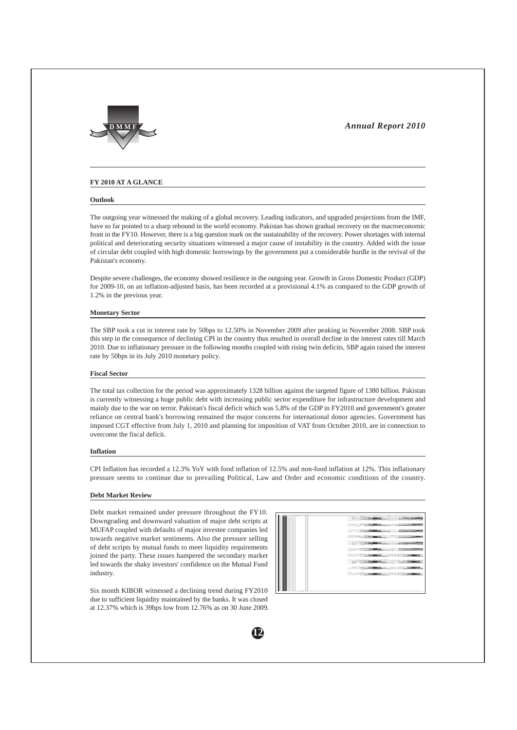

#### **FY 2010 AT A GLANCE**

#### **Outlook**

The outgoing year witnessed the making of a global recovery. Leading indicators, and upgraded projections from the IMF, have so far pointed to a sharp rebound in the world economy. Pakistan has shown gradual recovery on the macroeconomic front in the FY10. However, there is a big question mark on the sustainability of the recovery. Power shortages with internal political and deteriorating security situations witnessed a major cause of instability in the country. Added with the issue of circular debt coupled with high domestic borrowings by the government put a considerable hurdle in the revival of the Pakistan's economy.

Despite severe challenges, the economy showed resilience in the outgoing year. Growth in Gross Domestic Product (GDP) for 2009-10, on an inflation-adjusted basis, has been recorded at a provisional 4.1% as compared to the GDP growth of 1.2% in the previous year.

#### **Monetary Sector**

The SBP took a cut in interest rate by 50bps to 12.50% in November 2009 after peaking in November 2008. SBP took this step in the consequence of declining CPI in the country thus resulted in overall decline in the interest rates till March 2010. Due to inflationary pressure in the following months coupled with rising twin deficits, SBP again raised the interest rate by 50bps in its July 2010 monetary policy.

#### **Fiscal Sector**

The total tax collection for the period was approximately 1328 billion against the targeted figure of 1380 billion. Pakistan is currently witnessing a huge public debt with increasing public sector expenditure for infrastructure development and mainly due to the war on terror. Pakistan's fiscal deficit which was 5.8% of the GDP in FY2010 and government's greater reliance on central bank's borrowing remained the major concerns for international donor agencies. Government has imposed CGT effective from July 1, 2010 and planning for imposition of VAT from October 2010, are in connection to overcome the fiscal deficit.

#### **Inflation**

CPI Inflation has recorded a 12.3% YoY with food inflation of 12.5% and non-food inflation at 12%. This inflationary pressure seems to continue due to prevailing Political, Law and Order and economic conditions of the country.

#### **Debt Market Review**

Debt market remained under pressure throughout the FY10. Downgrading and downward valuation of major debt scripts at MUFAP coupled with defaults of major investee companies led towards negative market sentiments. Also the pressure selling of debt scripts by mutual funds to meet liquidity requirements joined the party. These issues hampered the secondary market led towards the shaky investors' confidence on the Mutual Fund industry.



Six month KIBOR witnessed a declining trend during FY2010 due to sufficient liquidity maintained by the banks. It was closed at 12.37% which is 39bps low from 12.76% as on 30 June 2009.

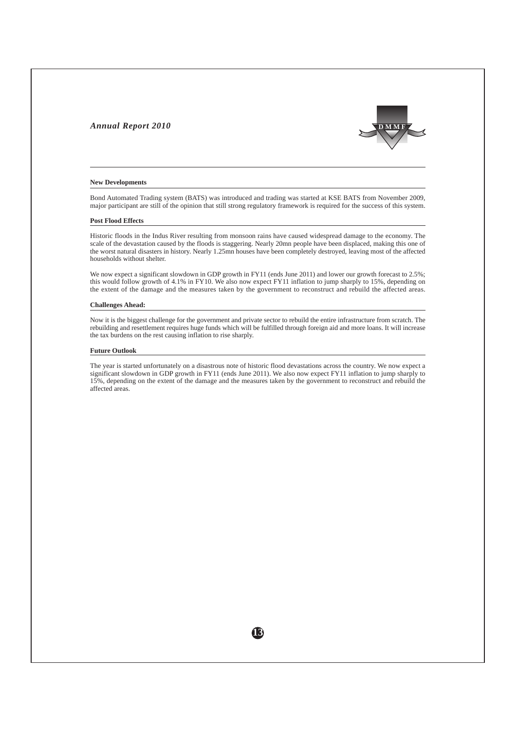

#### **New Developments**

Bond Automated Trading system (BATS) was introduced and trading was started at KSE BATS from November 2009, major participant are still of the opinion that still strong regulatory framework is required for the success of this system.

#### **Post Flood Effects**

Historic floods in the Indus River resulting from monsoon rains have caused widespread damage to the economy. The scale of the devastation caused by the floods is staggering. Nearly 20mn people have been displaced, making this one of the worst natural disasters in history. Nearly 1.25mn houses have been completely destroyed, leaving most of the affected households without shelter.

We now expect a significant slowdown in GDP growth in FY11 (ends June 2011) and lower our growth forecast to 2.5%; this would follow growth of 4.1% in FY10. We also now expect FY11 inflation to jump sharply to 15%, depending on the extent of the damage and the measures taken by the government to reconstruct and rebuild the affected areas.

#### **Challenges Ahead:**

Now it is the biggest challenge for the government and private sector to rebuild the entire infrastructure from scratch. The rebuilding and resettlement requires huge funds which will be fulfilled through foreign aid and more loans. It will increase the tax burdens on the rest causing inflation to rise sharply.

#### **Future Outlook**

The year is started unfortunately on a disastrous note of historic flood devastations across the country. We now expect a significant slowdown in GDP growth in FY11 (ends June 2011). We also now expect FY11 inflation to jump sharply to 15%, depending on the extent of the damage and the measures taken by the government to reconstruct and rebuild the affected areas.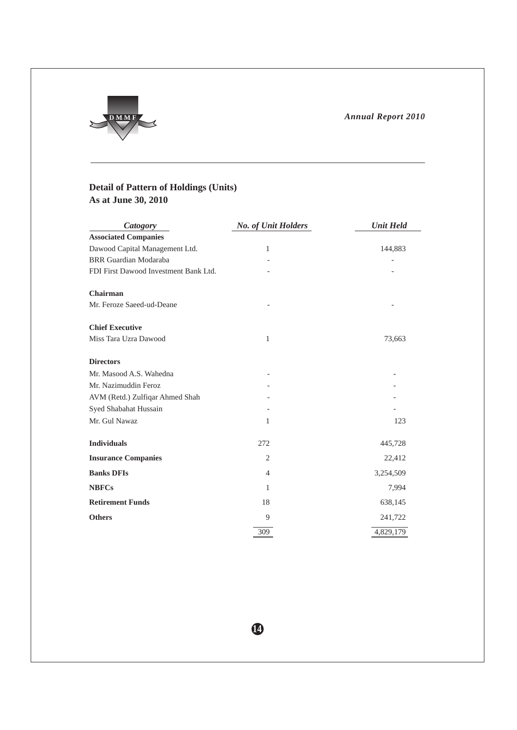

**DMMF** *Annual Report 2010*

# **Detail of Pattern of Holdings (Units) As at June 30, 2010**

| Catogory                              | No. of Unit Holders | Unit Held |
|---------------------------------------|---------------------|-----------|
| <b>Associated Companies</b>           |                     |           |
| Dawood Capital Management Ltd.        | 1                   | 144,883   |
| <b>BRR</b> Guardian Modaraba          |                     |           |
| FDI First Dawood Investment Bank Ltd. |                     |           |
| Chairman                              |                     |           |
| Mr. Feroze Saeed-ud-Deane             |                     |           |
| <b>Chief Executive</b>                |                     |           |
| Miss Tara Uzra Dawood                 | $\mathbf{1}$        | 73,663    |
| <b>Directors</b>                      |                     |           |
| Mr. Masood A.S. Wahedna               |                     |           |
| Mr. Nazimuddin Feroz                  |                     |           |
| AVM (Retd.) Zulfiqar Ahmed Shah       |                     |           |
| Syed Shabahat Hussain                 |                     |           |
| Mr. Gul Nawaz                         | 1                   | 123       |
| <b>Individuals</b>                    | 272                 | 445,728   |
| <b>Insurance Companies</b>            | $\overline{2}$      | 22,412    |
| <b>Banks DFIs</b>                     | $\overline{4}$      | 3,254,509 |
| <b>NBFCs</b>                          | 1                   | 7,994     |
| <b>Retirement Funds</b>               | 18                  | 638,145   |
| <b>Others</b>                         | 9                   | 241,722   |
|                                       | 309                 | 4,829,179 |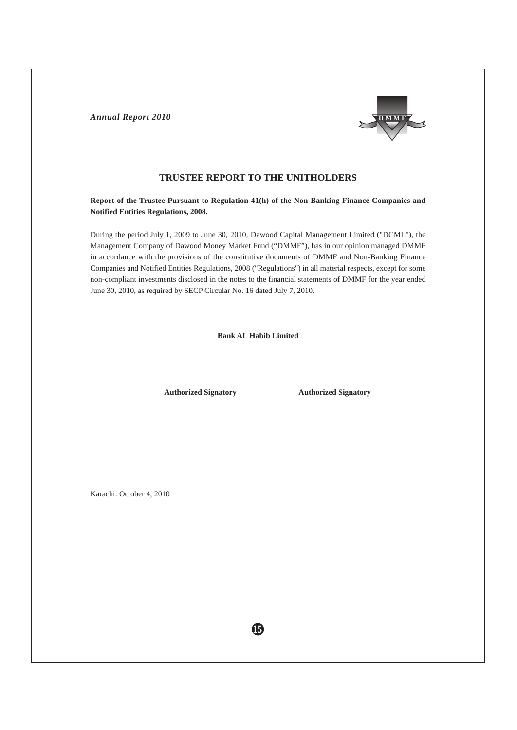

# **TRUSTEE REPORT TO THE UNITHOLDERS**

**Report of the Trustee Pursuant to Regulation 41(h) of the Non-Banking Finance Companies and Notified Entities Regulations, 2008.**

During the period July 1, 2009 to June 30, 2010, Dawood Capital Management Limited ("DCML"), the Management Company of Dawood Money Market Fund ("DMMF"), has in our opinion managed DMMF in accordance with the provisions of the constitutive documents of DMMF and Non-Banking Finance Companies and Notified Entities Regulations, 2008 ("Regulations") in all material respects, except for some non-compliant investments disclosed in the notes to the financial statements of DMMF for the year ended June 30, 2010, as required by SECP Circular No. 16 dated July 7, 2010.

**Bank AL Habib Limited**

 **Authorized Signatory Authorized Signatory**

Karachi: October 4, 2010

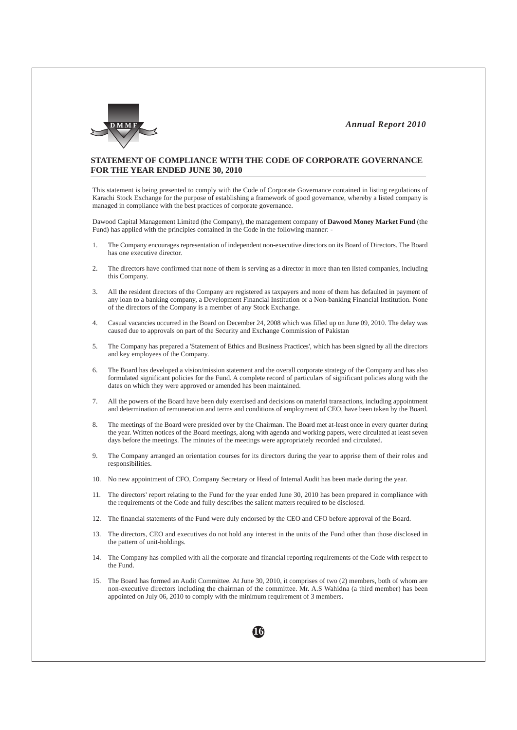**DMMF**

*Annual Report 2010*

#### **STATEMENT OF COMPLIANCE WITH THE CODE OF CORPORATE GOVERNANCE FOR THE YEAR ENDED JUNE 30, 2010**

This statement is being presented to comply with the Code of Corporate Governance contained in listing regulations of Karachi Stock Exchange for the purpose of establishing a framework of good governance, whereby a listed company is managed in compliance with the best practices of corporate governance.

Dawood Capital Management Limited (the Company), the management company of **Dawood Money Market Fund** (the Fund) has applied with the principles contained in the Code in the following manner: -

- 1. The Company encourages representation of independent non-executive directors on its Board of Directors. The Board has one executive director.
- 2. The directors have confirmed that none of them is serving as a director in more than ten listed companies, including this Company.
- 3. All the resident directors of the Company are registered as taxpayers and none of them has defaulted in payment of any loan to a banking company, a Development Financial Institution or a Non-banking Financial Institution. None of the directors of the Company is a member of any Stock Exchange.
- 4. Casual vacancies occurred in the Board on December 24, 2008 which was filled up on June 09, 2010. The delay was caused due to approvals on part of the Security and Exchange Commission of Pakistan
- 5. The Company has prepared a 'Statement of Ethics and Business Practices', which has been signed by all the directors and key employees of the Company.
- 6. The Board has developed a vision/mission statement and the overall corporate strategy of the Company and has also formulated significant policies for the Fund. A complete record of particulars of significant policies along with the dates on which they were approved or amended has been maintained.
- 7. All the powers of the Board have been duly exercised and decisions on material transactions, including appointment and determination of remuneration and terms and conditions of employment of CEO, have been taken by the Board.
- 8. The meetings of the Board were presided over by the Chairman. The Board met at-least once in every quarter during the year. Written notices of the Board meetings, along with agenda and working papers, were circulated at least seven days before the meetings. The minutes of the meetings were appropriately recorded and circulated.
- 9. The Company arranged an orientation courses for its directors during the year to apprise them of their roles and responsibilities.
- 10. No new appointment of CFO, Company Secretary or Head of Internal Audit has been made during the year.
- 11. The directors' report relating to the Fund for the year ended June 30, 2010 has been prepared in compliance with the requirements of the Code and fully describes the salient matters required to be disclosed.
- 12. The financial statements of the Fund were duly endorsed by the CEO and CFO before approval of the Board.
- 13. The directors, CEO and executives do not hold any interest in the units of the Fund other than those disclosed in the pattern of unit-holdings.
- 14. The Company has complied with all the corporate and financial reporting requirements of the Code with respect to the Fund.
- 15. The Board has formed an Audit Committee. At June 30, 2010, it comprises of two (2) members, both of whom are non-executive directors including the chairman of the committee. Mr. A.S Wahidna (a third member) has been appointed on July 06, 2010 to comply with the minimum requirement of 3 members.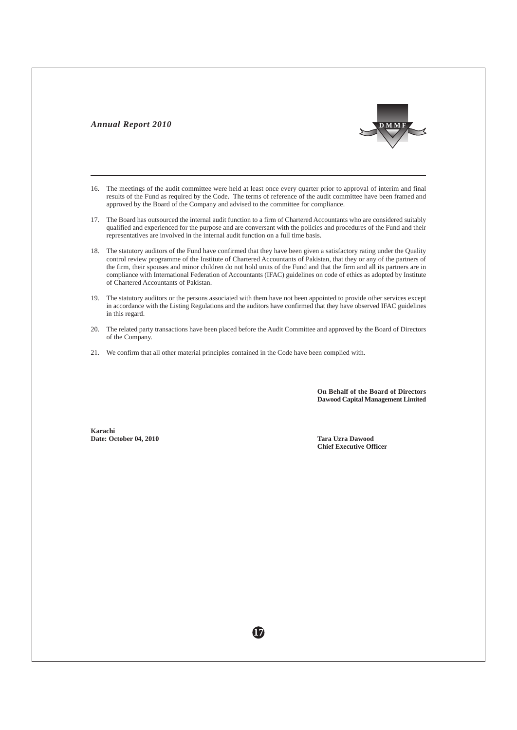

- 16. The meetings of the audit committee were held at least once every quarter prior to approval of interim and final results of the Fund as required by the Code. The terms of reference of the audit committee have been framed and approved by the Board of the Company and advised to the committee for compliance.
- 17. The Board has outsourced the internal audit function to a firm of Chartered Accountants who are considered suitably qualified and experienced for the purpose and are conversant with the policies and procedures of the Fund and their representatives are involved in the internal audit function on a full time basis.
- 18. The statutory auditors of the Fund have confirmed that they have been given a satisfactory rating under the Quality control review programme of the Institute of Chartered Accountants of Pakistan, that they or any of the partners of the firm, their spouses and minor children do not hold units of the Fund and that the firm and all its partners are in compliance with International Federation of Accountants (IFAC) guidelines on code of ethics as adopted by Institute of Chartered Accountants of Pakistan.
- 19. The statutory auditors or the persons associated with them have not been appointed to provide other services except in accordance with the Listing Regulations and the auditors have confirmed that they have observed IFAC guidelines in this regard.
- 20. The related party transactions have been placed before the Audit Committee and approved by the Board of Directors of the Company.
- 21. We confirm that all other material principles contained in the Code have been complied with.

**On Behalf of the Board of Directors Dawood Capital Management Limited**

**Karachi Date: October 04, 2010 Tara Uzra Dawood**

**Chief Executive Officer**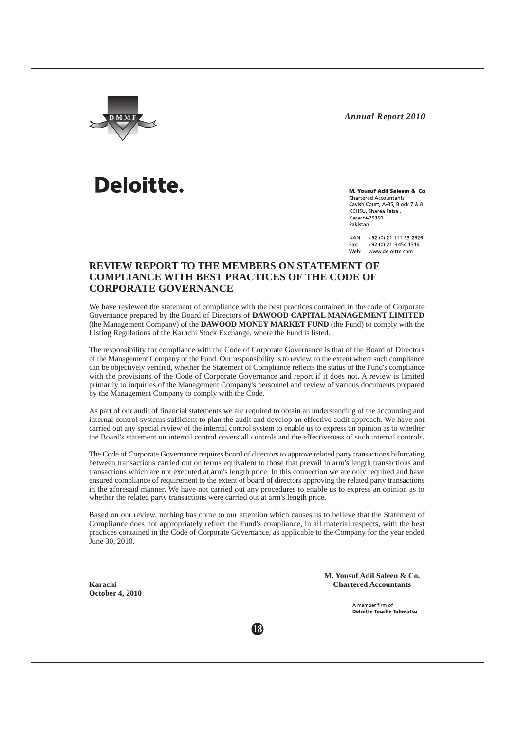

Deloitte.

**DMMF** *Annual Report 2010*

M. Yousuf Adil Saleem & Co. **Chartered Accountants** Cavish Court, A-35, Block 7 & 8 KCHSU, Sharea Faisal, Karachi-75350 Pakistan

UAN: +92 (0) 21 111-55-2626 Fax: +92 (0) 21-3454 1314 Web: www.deloitte.com

# **REVIEW REPORT TO THE MEMBERS ON STATEMENT OF COMPLIANCE WITH BEST PRACTICES OF THE CODE OF CORPORATE GOVERNANCE**

We have reviewed the statement of compliance with the best practices contained in the code of Corporate Governance prepared by the Board of Directors of **DAWOOD CAPITAL MANAGEMENT LIMITED** (the Management Company) of the **DAWOOD MONEY MARKET FUND** (the Fund) to comply with the Listing Regulations of the Karachi Stock Exchange, where the Fund is listed.

The responsibility for compliance with the Code of Corporate Governance is that of the Board of Directors of the Management Company of the Fund. Our responsibility is to review, to the extent where such compliance can be objectively verified, whether the Statement of Compliance reflects the status of the Fund's compliance with the provisions of the Code of Corporate Governance and report if it does not. A review is limited primarily to inquiries of the Management Company's personnel and review of various documents prepared by the Management Company to comply with the Code.

As part of our audit of financial statements we are required to obtain an understanding of the accounting and internal control systems sufficient to plan the audit and develop an effective audit approach. We have not carried out any special review of the internal control system to enable us to express an opinion as to whether the Board's statement on internal control covers all controls and the effectiveness of such internal controls.

The Code of Corporate Governance requires board of directors to approve related party transactions bifurcating between transactions carried out on terms equivalent to those that prevail in arm's length transactions and transactions which are not executed at arm's length price. In this connection we are only required and have ensured compliance of requirement to the extent of board of directors approving the related party transactions in the aforesaid manner. We have not carried out any procedures to enable us to express an opinion as to whether the related party transactions were carried out at arm's length price.

Based on our review, nothing has come to our attention which causes us to believe that the Statement of Compliance does not appropriately reflect the Fund's compliance, in all material respects, with the best practices contained in the Code of Corporate Governance, as applicable to the Company for the year ended June 30, 2010.

**October 4, 2010**

**M. Yousuf Adil Saleen & Co. Karachi Chartered Accountants**

> A member firm of **Deloitte Touche Tohmatsu**

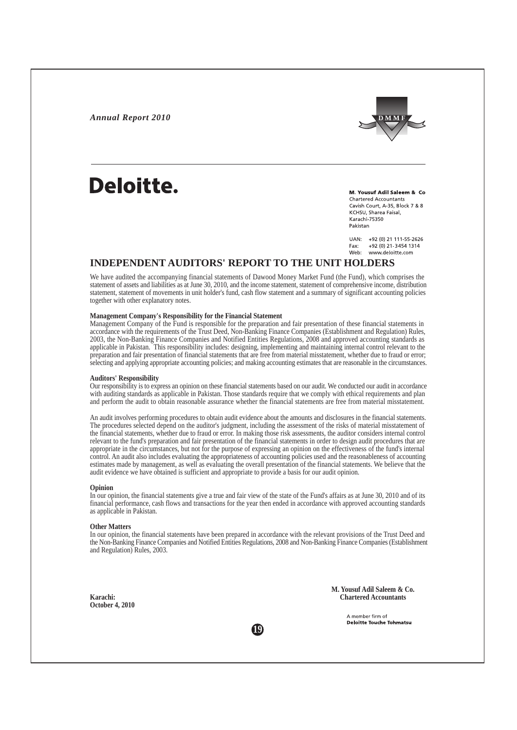

# Deloitte.

#### M. Yousuf Adil Saleem & Co

Chartered Accountants Cavish Court A-35 Block 7 & 8 KCHSU, Sharea Faisal, Karachi-75350 Pakistan

UAN: +92 (0) 21 111-55-2626 +92 (0) 21-3454 1314 Fax: Web: www.deloitte.com

# **INDEPENDENT AUDITORS' REPORT TO THE UNIT HOLDERS**

We have audited the accompanying financial statements of Dawood Money Market Fund (the Fund), which comprises the statement of assets and liabilities as at June 30, 2010, and the income statement, statement of comprehensive income, distribution statement, statement of movements in unit holder's fund, cash flow statement and a summary of significant accounting policies together with other explanatory notes.

#### **Management Company's Responsibility for the Financial Statement**

Management Company of the Fund is responsible for the preparation and fair presentation of these financial statements in accordance with the requirements of the Trust Deed, Non-Banking Finance Companies (Establishment and Regulation) Rules, 2003, the Non-Banking Finance Companies and Notified Entities Regulations, 2008 and approved accounting standards as applicable in Pakistan. This responsibility includes: designing, implementing and maintaining internal control relevant to the preparation and fair presentation of financial statements that are free from material misstatement, whether due to fraud or error; selecting and applying appropriate accounting policies; and making accounting estimates that are reasonable in the circumstances.

#### **Auditors' Responsibility**

Our responsibility is to express an opinion on these financial statements based on our audit. We conducted our audit in accordance with auditing standards as applicable in Pakistan. Those standards require that we comply with ethical requirements and plan and perform the audit to obtain reasonable assurance whether the financial statements are free from material misstatement.

An audit involves performing procedures to obtain audit evidence about the amounts and disclosures in the financial statements. The procedures selected depend on the auditor's judgment, including the assessment of the risks of material misstatement of the financial statements, whether due to fraud or error. In making those risk assessments, the auditor considers internal control relevant to the fund's preparation and fair presentation of the financial statements in order to design audit procedures that are appropriate in the circumstances, but not for the purpose of expressing an opinion on the effectiveness of the fund's internal control. An audit also includes evaluating the appropriateness of accounting policies used and the reasonableness of accounting estimates made by management, as well as evaluating the overall presentation of the financial statements. We believe that the audit evidence we have obtained is sufficient and appropriate to provide a basis for our audit opinion.

#### **Opinion**

In our opinion, the financial statements give a true and fair view of the state of the Fund's affairs as at June 30, 2010 and of its financial performance, cash flows and transactions for the year then ended in accordance with approved accounting standards as applicable in Pakistan.

#### **Other Matters**

In our opinion, the financial statements have been prepared in accordance with the relevant provisions of the Trust Deed and the Non-Banking Finance Companies and Notified Entities Regulations, 2008 and Non-Banking Finance Companies (Establishment and Regulation) Rules, 2003.

**October 4, 2010**

**M. Yousuf Adil Saleem & Co. Karachi: Chartered Accountants**

> A member firm of **Deloitte Touche Tohmatsu**

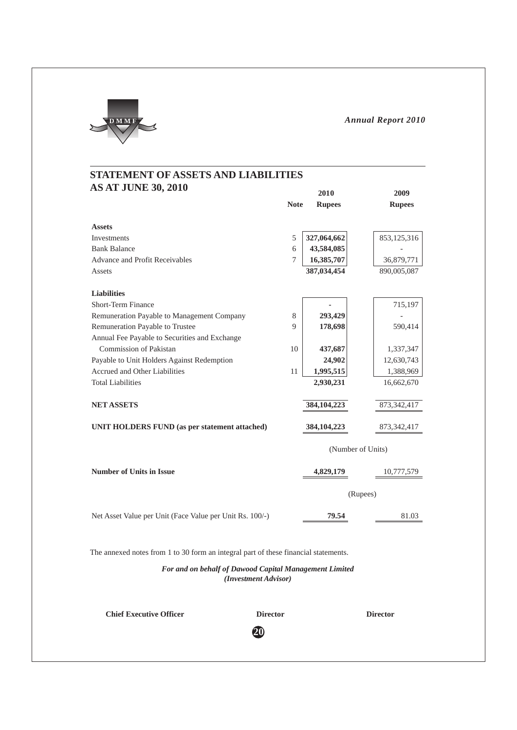

# **2010 2009 Note Rupees Rupees Assets** Investments 5 **327,064,662** 853,125,316 Bank Balance 6 **43,584,085** Advance and Profit Receivables 7 **16,385,707** 36,879,771 Assets **387,034,454** 890,005,087 **Liabilities** Short-Term Finance **-** 715,197 Remuneration Payable to Management Company 8 **293,429** Remuneration Payable to Trustee 9 **178,698** 590,414 Annual Fee Payable to Securities and Exchange **Commission of Pakistan 10 1437,687** 1,337,347 Payable to Unit Holders Against Redemption **24,902** 12,630,743 Accrued and Other Liabilities 11 **1,995,515** 1,388,969 Total Liabilities **2,930,231** 16,662,670 **NET ASSETS 384,104,223** 873,342,417 **UNIT HOLDERS FUND (as per statement attached) 384,104,223** 873,342,417 (Number of Units) **Number of Units in Issue 4,829,179** 10,777,579 (Rupees) Net Asset Value per Unit (Face Value per Unit Rs. 100/-) **79.54** 81.03 **STATEMENT OF ASSETS AND LIABILITIES AS AT JUNE 30, 2010**

The annexed notes from 1 to 30 form an integral part of these financial statements.

*For and on behalf of Dawood Capital Management Limited (Investment Advisor)*

**Chief Executive Officer Director Director Director Director** 

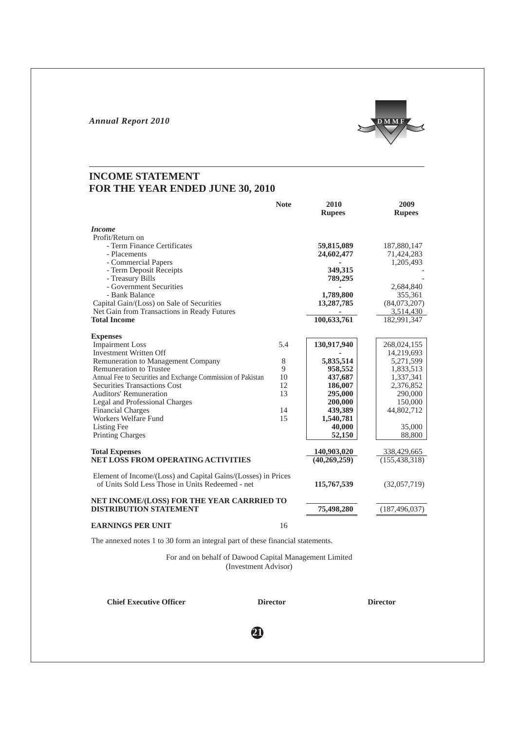

# **INCOME STATEMENT FOR THE YEAR ENDED JUNE 30, 2010**

|                                                               | <b>Note</b> | 2010<br><b>Rupees</b> | 2009<br><b>Rupees</b> |
|---------------------------------------------------------------|-------------|-----------------------|-----------------------|
| <i>Income</i>                                                 |             |                       |                       |
| Profit/Return on                                              |             |                       |                       |
| - Term Finance Certificates                                   |             | 59,815,089            | 187,880,147           |
| - Placements                                                  |             | 24,602,477            | 71,424,283            |
| - Commercial Papers                                           |             |                       | 1,205,493             |
| - Term Deposit Receipts                                       |             | 349,315               |                       |
| - Treasury Bills                                              |             | 789,295               |                       |
| - Government Securities                                       |             |                       | 2,684,840             |
| - Bank Balance                                                |             | 1,789,800             | 355,361               |
| Capital Gain/(Loss) on Sale of Securities                     |             | 13,287,785            | (84,073,207)          |
| Net Gain from Transactions in Ready Futures                   |             |                       | 3,514,430             |
| <b>Total Income</b>                                           |             | 100,633,761           | 182,991,347           |
| <b>Expenses</b>                                               |             |                       |                       |
| <b>Impairment Loss</b>                                        | 5.4         | 130,917,940           | 268,024,155           |
| <b>Investment Written Off</b>                                 |             |                       | 14,219,693            |
| Remuneration to Management Company                            | 8           | 5,835,514             | 5,271,599             |
| <b>Remuneration to Trustee</b>                                | 9           | 958,552               | 1,833,513             |
| Annual Fee to Securities and Exchange Commission of Pakistan  | 10          | 437,687               | 1,337,341             |
| <b>Securities Transactions Cost</b>                           | 12          | 186,007               | 2,376,852             |
| <b>Auditors' Remuneration</b>                                 | 13          | 295,000               | 290,000               |
| Legal and Professional Charges                                |             | 200,000               | 150,000               |
| <b>Financial Charges</b>                                      | 14          | 439,389               | 44,802,712            |
| Workers Welfare Fund                                          | 15          | 1,540,781             |                       |
| <b>Listing Fee</b>                                            |             | 40,000                | 35,000                |
| <b>Printing Charges</b>                                       |             | 52,150                | 88,800                |
|                                                               |             |                       |                       |
| <b>Total Expenses</b>                                         |             | 140,903,020           | 338,429,665           |
| <b>NET LOSS FROM OPERATING ACTIVITIES</b>                     |             | (40, 269, 259)        | (155, 438, 318)       |
| Element of Income/(Loss) and Capital Gains/(Losses) in Prices |             |                       |                       |
| of Units Sold Less Those in Units Redeemed - net              |             | 115,767,539           | (32,057,719)          |
| NET INCOME/(LOSS) FOR THE YEAR CARRRIED TO                    |             |                       |                       |
| <b>DISTRIBUTION STATEMENT</b>                                 |             | 75,498,280            | (187, 496, 037)       |
| <b>EARNINGS PER UNIT</b>                                      | 16          |                       |                       |

The annexed notes 1 to 30 form an integral part of these financial statements.

For and on behalf of Dawood Capital Management Limited (Investment Advisor)

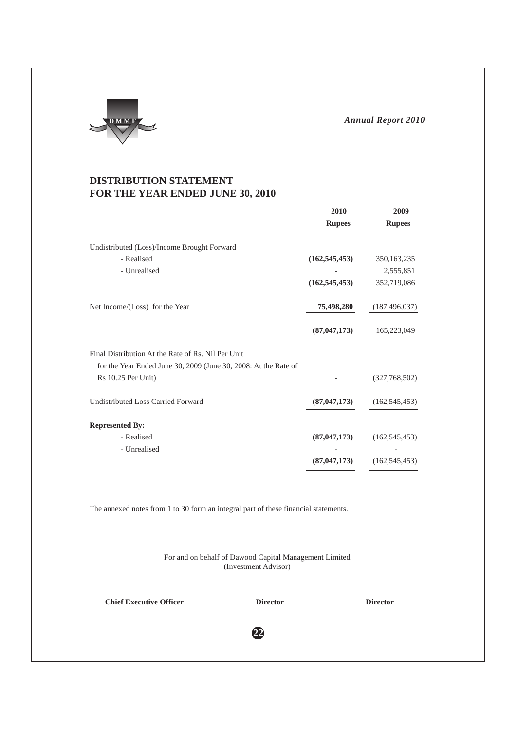

# **DISTRIBUTION STATEMENT FOR THE YEAR ENDED JUNE 30, 2010**

|                                                                                                                       | 2010            | 2009            |
|-----------------------------------------------------------------------------------------------------------------------|-----------------|-----------------|
|                                                                                                                       | <b>Rupees</b>   | <b>Rupees</b>   |
| Undistributed (Loss)/Income Brought Forward                                                                           |                 |                 |
| - Realised                                                                                                            | (162, 545, 453) | 350, 163, 235   |
| - Unrealised                                                                                                          |                 | 2,555,851       |
|                                                                                                                       | (162, 545, 453) | 352,719,086     |
| Net Income/(Loss) for the Year                                                                                        | 75,498,280      | (187, 496, 037) |
|                                                                                                                       | (87, 047, 173)  | 165,223,049     |
| Final Distribution At the Rate of Rs. Nil Per Unit<br>for the Year Ended June 30, 2009 (June 30, 2008: At the Rate of |                 |                 |
| $Rs$ 10.25 Per Unit)                                                                                                  |                 | (327,768,502)   |
| <b>Undistributed Loss Carried Forward</b>                                                                             | (87, 047, 173)  | (162, 545, 453) |
| <b>Represented By:</b>                                                                                                |                 |                 |
| - Realised                                                                                                            | (87, 047, 173)  | (162, 545, 453) |
| - Unrealised                                                                                                          |                 |                 |
|                                                                                                                       | (87, 047, 173)  | (162, 545, 453) |

The annexed notes from 1 to 30 form an integral part of these financial statements.

For and on behalf of Dawood Capital Management Limited (Investment Advisor)

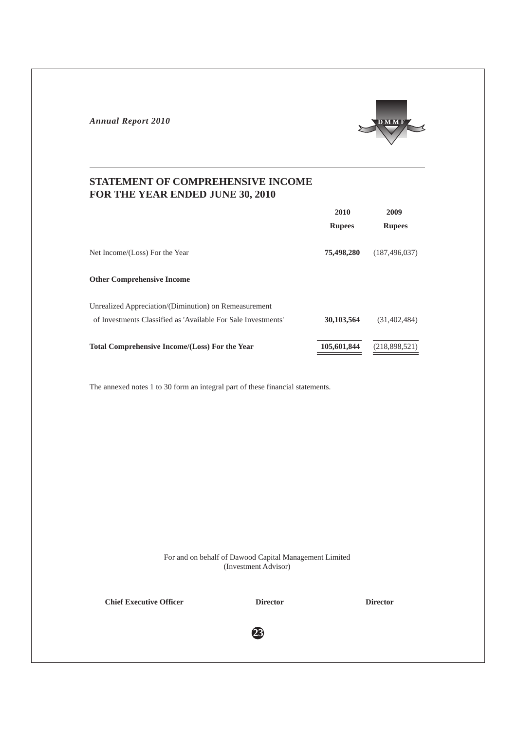

# **STATEMENT OF COMPREHENSIVE INCOME FOR THE YEAR ENDED JUNE 30, 2010**

|                                                               | 2010          | 2009            |
|---------------------------------------------------------------|---------------|-----------------|
|                                                               | <b>Rupees</b> | <b>Rupees</b>   |
| Net Income/(Loss) For the Year                                | 75,498,280    | (187, 496, 037) |
| <b>Other Comprehensive Income</b>                             |               |                 |
| Unrealized Appreciation/(Diminution) on Remeasurement         |               |                 |
| of Investments Classified as 'Available For Sale Investments' | 30,103,564    | (31, 402, 484)  |
| <b>Total Comprehensive Income/(Loss) For the Year</b>         | 105,601,844   | (218,898,521)   |

The annexed notes 1 to 30 form an integral part of these financial statements.

For and on behalf of Dawood Capital Management Limited (Investment Advisor)

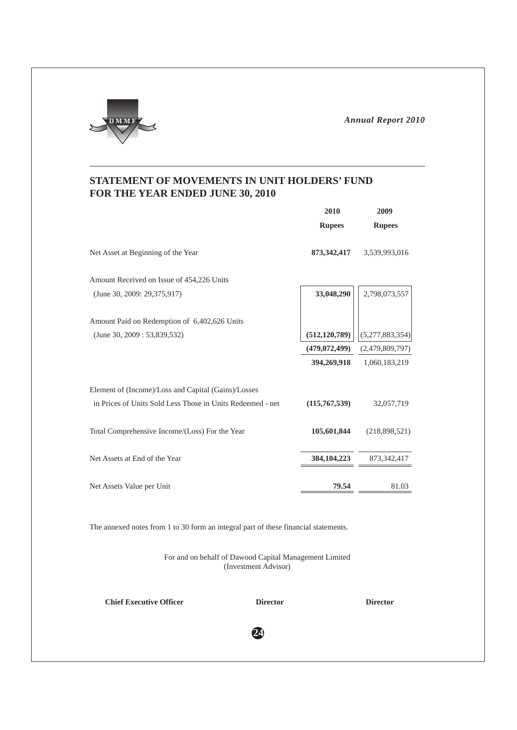

# **STATEMENT OF MOVEMENTS IN UNIT HOLDERS' FUND FOR THE YEAR ENDED JUNE 30, 2010**

|                                                            | 2010            | 2009            |
|------------------------------------------------------------|-----------------|-----------------|
|                                                            | <b>Rupees</b>   | <b>Rupees</b>   |
| Net Asset at Beginning of the Year                         | 873,342,417     | 3,539,993,016   |
| Amount Received on Issue of 454,226 Units                  |                 |                 |
| (June 30, 2009: 29,375,917)                                | 33,048,290      | 2,798,073,557   |
|                                                            |                 |                 |
| Amount Paid on Redemption of 6,402,626 Units               |                 |                 |
| (June 30, 2009: 53,839,532)                                | (512, 120, 789) | (5,277,883,354) |
|                                                            | (479, 072, 499) | (2,479,809,797) |
|                                                            | 394,269,918     | 1,060,183,219   |
|                                                            |                 |                 |
| Element of (Income)/Loss and Capital (Gains)/Losses        |                 |                 |
| in Prices of Units Sold Less Those in Units Redeemed - net | (115,767,539)   | 32,057,719      |
| Total Comprehensive Income/(Loss) For the Year             | 105,601,844     | (218,898,521)   |
| Net Assets at End of the Year                              | 384, 104, 223   | 873, 342, 417   |
| Net Assets Value per Unit                                  | 79.54           | 81.03           |

The annexed notes from 1 to 30 form an integral part of these financial statements.

For and on behalf of Dawood Capital Management Limited (Investment Advisor)

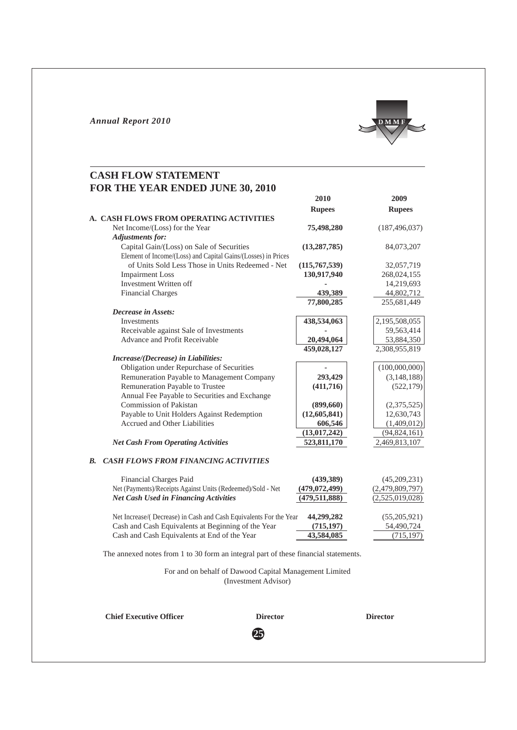

# **CASH FLOW STATEMENT FOR THE YEAR ENDED JUNE 30, 2010**

|    |                                                                   | 2010            | 2009            |
|----|-------------------------------------------------------------------|-----------------|-----------------|
|    |                                                                   | <b>Rupees</b>   | <b>Rupees</b>   |
|    | A. CASH FLOWS FROM OPERATING ACTIVITIES                           |                 |                 |
|    | Net Income/(Loss) for the Year                                    | 75,498,280      | (187, 496, 037) |
|    | Adjustments for:                                                  |                 |                 |
|    | Capital Gain/(Loss) on Sale of Securities                         | (13, 287, 785)  | 84,073,207      |
|    | Element of Income/(Loss) and Capital Gains/(Losses) in Prices     |                 |                 |
|    | of Units Sold Less Those in Units Redeemed - Net                  | (115,767,539)   | 32,057,719      |
|    | <b>Impairment Loss</b>                                            | 130,917,940     | 268,024,155     |
|    | Investment Written off                                            |                 | 14,219,693      |
|    | <b>Financial Charges</b>                                          | 439,389         | 44,802,712      |
|    |                                                                   | 77,800,285      | 255,681,449     |
|    | Decrease in Assets:                                               |                 |                 |
|    | Investments                                                       | 438,534,063     | 2,195,508,055   |
|    | Receivable against Sale of Investments                            |                 | 59,563,414      |
|    | Advance and Profit Receivable                                     | 20,494,064      | 53,884,350      |
|    |                                                                   | 459,028,127     | 2,308,955,819   |
|    | Increase/(Decrease) in Liabilities:                               |                 |                 |
|    | Obligation under Repurchase of Securities                         |                 | (100,000,000)   |
|    | Remuneration Payable to Management Company                        | 293,429         | (3, 148, 188)   |
|    | Remuneration Payable to Trustee                                   | (411,716)       | (522, 179)      |
|    | Annual Fee Payable to Securities and Exchange                     |                 |                 |
|    | <b>Commission of Pakistan</b>                                     | (899,660)       | (2,375,525)     |
|    | Payable to Unit Holders Against Redemption                        | (12,605,841)    | 12,630,743      |
|    | Accrued and Other Liabilities                                     | 606,546         | (1,409,012)     |
|    |                                                                   | (13,017,242)    | (94, 824, 161)  |
|    | Net Cash From Operating Activities                                | 523,811,170     | 2,469,813,107   |
| B. | CASH FLOWS FROM FINANCING ACTIVITIES                              |                 |                 |
|    | Financial Charges Paid                                            | (439, 389)      | (45,209,231)    |
|    | Net (Payments)/Receipts Against Units (Redeemed)/Sold - Net       | (479, 072, 499) | (2,479,809,797) |
|    | Net Cash Used in Financing Activities                             | (479, 511, 888) | (2,525,019,028) |
|    | Net Increase/(Decrease) in Cash and Cash Equivalents For the Year | 44,299,282      | (55,205,921)    |
|    | Cash and Cash Equivalents at Beginning of the Year                | (715, 197)      | 54,490,724      |
|    | Cash and Cash Equivalents at End of the Year                      | 43,584,085      | (715, 197)      |
|    |                                                                   |                 |                 |

The annexed notes from 1 to 30 form an integral part of these financial statements.

For and on behalf of Dawood Capital Management Limited (Investment Advisor)

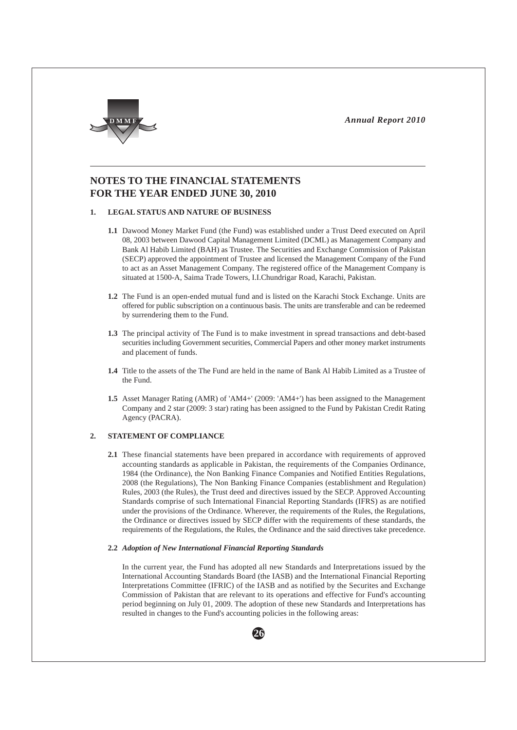

# **NOTES TO THE FINANCIAL STATEMENTS FOR THE YEAR ENDED JUNE 30, 2010**

#### **1. LEGAL STATUS AND NATURE OF BUSINESS**

- **1.1** Dawood Money Market Fund (the Fund) was established under a Trust Deed executed on April 08, 2003 between Dawood Capital Management Limited (DCML) as Management Company and Bank Al Habib Limited (BAH) as Trustee. The Securities and Exchange Commission of Pakistan (SECP) approved the appointment of Trustee and licensed the Management Company of the Fund to act as an Asset Management Company. The registered office of the Management Company is situated at 1500-A, Saima Trade Towers, I.I.Chundrigar Road, Karachi, Pakistan.
- **1.2** The Fund is an open-ended mutual fund and is listed on the Karachi Stock Exchange. Units are offered for public subscription on a continuous basis. The units are transferable and can be redeemed by surrendering them to the Fund.
- **1.3** The principal activity of The Fund is to make investment in spread transactions and debt-based securities including Government securities, Commercial Papers and other money market instruments and placement of funds.
- **1.4** Title to the assets of the The Fund are held in the name of Bank Al Habib Limited as a Trustee of the Fund.
- **1.5** Asset Manager Rating (AMR) of 'AM4+' (2009: 'AM4+') has been assigned to the Management Company and 2 star (2009: 3 star) rating has been assigned to the Fund by Pakistan Credit Rating Agency (PACRA).

#### **2. STATEMENT OF COMPLIANCE**

- **2.1** These financial statements have been prepared in accordance with requirements of approved accounting standards as applicable in Pakistan, the requirements of the Companies Ordinance, 1984 (the Ordinance), the Non Banking Finance Companies and Notified Entities Regulations, 2008 (the Regulations), The Non Banking Finance Companies (establishment and Regulation) Rules, 2003 (the Rules), the Trust deed and directives issued by the SECP. Approved Accounting Standards comprise of such International Financial Reporting Standards (IFRS) as are notified under the provisions of the Ordinance. Wherever, the requirements of the Rules, the Regulations, the Ordinance or directives issued by SECP differ with the requirements of these standards, the requirements of the Regulations, the Rules, the Ordinance and the said directives take precedence.
- **2.2** *Adoption of New International Financial Reporting Standards*

In the current year, the Fund has adopted all new Standards and Interpretations issued by the International Accounting Standards Board (the IASB) and the International Financial Reporting Interpretations Committee (IFRIC) of the IASB and as notified by the Securites and Exchange Commission of Pakistan that are relevant to its operations and effective for Fund's accounting period beginning on July 01, 2009. The adoption of these new Standards and Interpretations has resulted in changes to the Fund's accounting policies in the following areas:

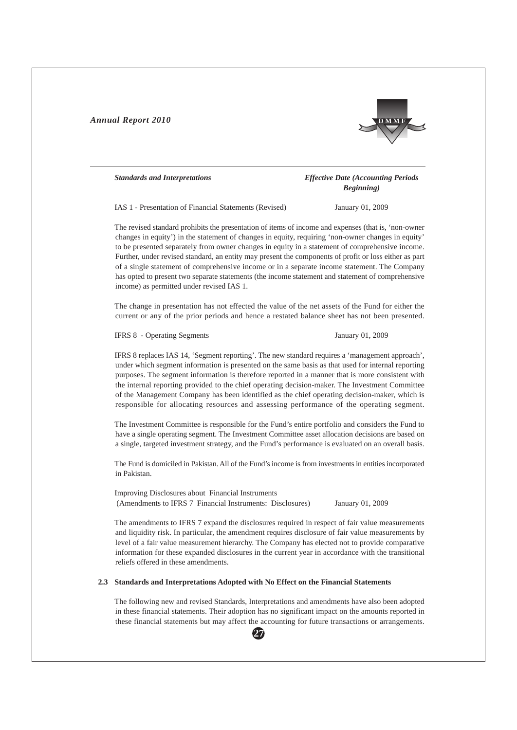

## *Standards and Interpretations Effective Date (Accounting Periods Beginning)*

IAS 1 - Presentation of Financial Statements (Revised) January 01, 2009

The revised standard prohibits the presentation of items of income and expenses (that is, 'non-owner changes in equity') in the statement of changes in equity, requiring 'non-owner changes in equity' to be presented separately from owner changes in equity in a statement of comprehensive income. Further, under revised standard, an entity may present the components of profit or loss either as part of a single statement of comprehensive income or in a separate income statement. The Company has opted to present two separate statements (the income statement and statement of comprehensive income) as permitted under revised IAS 1.

The change in presentation has not effected the value of the net assets of the Fund for either the current or any of the prior periods and hence a restated balance sheet has not been presented.

IFRS 8 - Operating Segments January 01, 2009

IFRS 8 replaces IAS 14, 'Segment reporting'. The new standard requires a 'management approach', under which segment information is presented on the same basis as that used for internal reporting purposes. The segment information is therefore reported in a manner that is more consistent with the internal reporting provided to the chief operating decision-maker. The Investment Committee of the Management Company has been identified as the chief operating decision-maker, which is responsible for allocating resources and assessing performance of the operating segment.

The Investment Committee is responsible for the Fund's entire portfolio and considers the Fund to have a single operating segment. The Investment Committee asset allocation decisions are based on a single, targeted investment strategy, and the Fund's performance is evaluated on an overall basis.

The Fund is domiciled in Pakistan. All of the Fund's income is from investments in entities incorporated in Pakistan.

Improving Disclosures about Financial Instruments (Amendments to IFRS 7 Financial Instruments: Disclosures) January 01, 2009

The amendments to IFRS 7 expand the disclosures required in respect of fair value measurements and liquidity risk. In particular, the amendment requires disclosure of fair value measurements by level of a fair value measurement hierarchy. The Company has elected not to provide comparative information for these expanded disclosures in the current year in accordance with the transitional reliefs offered in these amendments.

#### **2.3 Standards and Interpretations Adopted with No Effect on the Financial Statements**

The following new and revised Standards, Interpretations and amendments have also been adopted in these financial statements. Their adoption has no significant impact on the amounts reported in these financial statements but may affect the accounting for future transactions or arrangements.

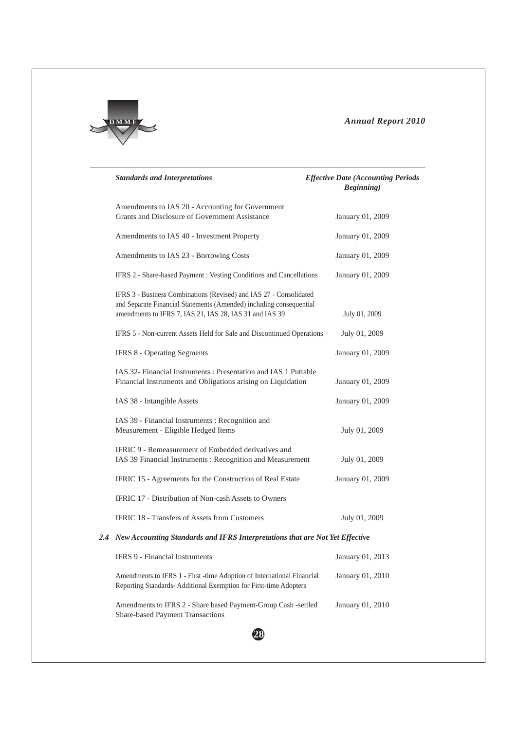

| <b>Standards and Interpretations</b>                                                                                                        | Effective Date (Accounting Periods<br>Beginning) |
|---------------------------------------------------------------------------------------------------------------------------------------------|--------------------------------------------------|
| Amendments to IAS 20 - Accounting for Government                                                                                            |                                                  |
| Grants and Disclosure of Government Assistance                                                                                              | January 01, 2009                                 |
| Amendments to IAS 40 - Investment Property                                                                                                  | January 01, 2009                                 |
| Amendments to IAS 23 - Borrowing Costs                                                                                                      | January 01, 2009                                 |
| IFRS 2 - Share-based Payment : Vesting Conditions and Cancellations                                                                         | January 01, 2009                                 |
| IFRS 3 - Business Combinations (Revised) and IAS 27 - Consolidated<br>and Separate Financial Statements (Amended) including consequential   |                                                  |
| amendments to IFRS 7, IAS 21, IAS 28, IAS 31 and IAS 39                                                                                     | July 01, 2009                                    |
| IFRS 5 - Non-current Assets Held for Sale and Discontinued Operations                                                                       | July 01, 2009                                    |
| <b>IFRS 8 - Operating Segments</b>                                                                                                          | January 01, 2009                                 |
| IAS 32- Financial Instruments: Presentation and IAS 1 Puttable<br>Financial Instruments and Obligations arising on Liquidation              | January 01, 2009                                 |
| IAS 38 - Intangible Assets                                                                                                                  | January 01, 2009                                 |
| IAS 39 - Financial Instruments: Recognition and<br>Measurement - Eligible Hedged Items                                                      | July 01, 2009                                    |
| IFRIC 9 - Remeasurement of Embedded derivatives and<br>IAS 39 Financial Instruments: Recognition and Measurement                            | July 01, 2009                                    |
| IFRIC 15 - Agreements for the Construction of Real Estate                                                                                   | January 01, 2009                                 |
| IFRIC 17 - Distribution of Non-cash Assets to Owners                                                                                        |                                                  |
| <b>IFRIC 18 - Transfers of Assets from Customers</b>                                                                                        | July 01, 2009                                    |
| 2.4 New Accounting Standards and IFRS Interpretations that are Not Yet Effective                                                            |                                                  |
| <b>IFRS 9 - Financial Instruments</b>                                                                                                       | January 01, 2013                                 |
| Amendments to IFRS 1 - First -time Adoption of International Financial<br>Reporting Standards- Additional Exemption for First-time Adopters | January 01, 2010                                 |
| Amendments to IFRS 2 - Share based Payment-Group Cash -settled<br>Share-based Payment Transactions                                          | January 01, 2010                                 |

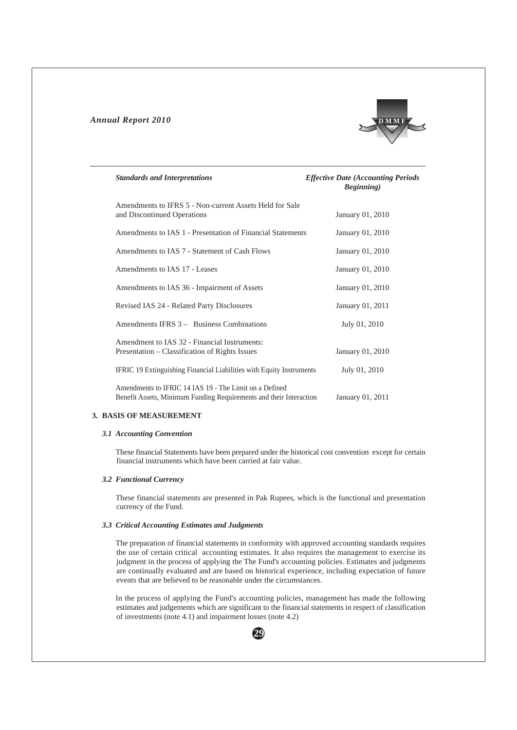

| <b>Standards and Interpretations</b>                                                                                         | Effective Date (Accounting Periods<br><i>Beginning</i> ) |
|------------------------------------------------------------------------------------------------------------------------------|----------------------------------------------------------|
| Amendments to IFRS 5 - Non-current Assets Held for Sale<br>and Discontinued Operations                                       | January 01, 2010                                         |
| Amendments to IAS 1 - Presentation of Financial Statements                                                                   | January 01, 2010                                         |
| Amendments to IAS 7 - Statement of Cash Flows                                                                                | January 01, 2010                                         |
| Amendments to IAS 17 - Leases                                                                                                | January 01, 2010                                         |
| Amendments to IAS 36 - Impairment of Assets                                                                                  | January 01, 2010                                         |
| Revised IAS 24 - Related Party Disclosures                                                                                   | January 01, 2011                                         |
| Amendments IFRS 3 – Business Combinations                                                                                    | July 01, 2010                                            |
| Amendment to IAS 32 - Financial Instruments:<br>Presentation – Classification of Rights Issues                               | January 01, 2010                                         |
| <b>IFRIC 19 Extinguishing Financial Liabilities with Equity Instruments</b>                                                  | July 01, 2010                                            |
| Amendments to IFRIC 14 IAS 19 - The Limit on a Defined<br>Benefit Assets, Minimum Funding Requirements and their Interaction | January 01, 2011                                         |

#### **3. BASIS OF MEASUREMENT**

#### *3.1 Accounting Convention*

These financial Statements have been prepared under the historical cost convention except for certain financial instruments which have been carried at fair value.

#### *3.2 Functional Currency*

These financial statements are presented in Pak Rupees, which is the functional and presentation currency of the Fund.

#### *3.3 Critical Accounting Estimates and Judgments*

The preparation of financial statements in conformity with approved accounting standards requires the use of certain critical accounting estimates. It also requires the management to exercise its judgment in the process of applying the The Fund's accounting policies. Estimates and judgments are continually evaluated and are based on historical experience, including expectation of future events that are believed to be reasonable under the circumstances.

In the process of applying the Fund's accounting policies, management has made the following estimates and judgements which are significant to the financial statements in respect of classification of investments (note 4.1) and impairment losses (note 4.2)

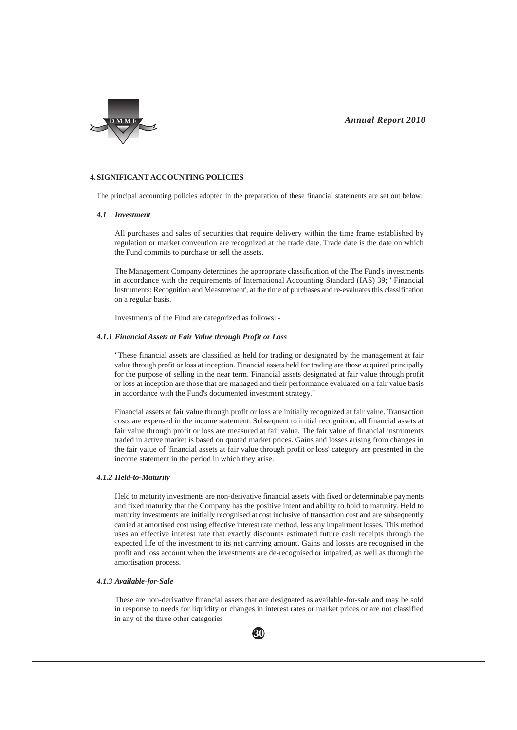**DMMF**

*Annual Report 2010*

#### **4.SIGNIFICANT ACCOUNTING POLICIES**

The principal accounting policies adopted in the preparation of these financial statements are set out below:

*4.1 Investment*

All purchases and sales of securities that require delivery within the time frame established by regulation or market convention are recognized at the trade date. Trade date is the date on which the Fund commits to purchase or sell the assets.

The Management Company determines the appropriate classification of the The Fund's investments in accordance with the requirements of International Accounting Standard (IAS) 39; ' Financial Instruments: Recognition and Measurement', at the time of purchases and re-evaluates this classification on a regular basis.

Investments of the Fund are categorized as follows: -

#### *4.1.1 Financial Assets at Fair Value through Profit or Loss*

"These financial assets are classified as held for trading or designated by the management at fair value through profit or loss at inception. Financial assets held for trading are those acquired principally for the purpose of selling in the near term. Financial assets designated at fair value through profit or loss at inception are those that are managed and their performance evaluated on a fair value basis in accordance with the Fund's documented investment strategy."

Financial assets at fair value through profit or loss are initially recognized at fair value. Transaction costs are expensed in the income statement. Subsequent to initial recognition, all financial assets at fair value through profit or loss are measured at fair value. The fair value of financial instruments traded in active market is based on quoted market prices. Gains and losses arising from changes in the fair value of 'financial assets at fair value through profit or loss' category are presented in the income statement in the period in which they arise.

#### *4.1.2 Held-to-Maturity*

Held to maturity investments are non-derivative financial assets with fixed or determinable payments and fixed maturity that the Company has the positive intent and ability to hold to maturity. Held to maturity investments are initially recognised at cost inclusive of transaction cost and are subsequently carried at amortised cost using effective interest rate method, less any impairment losses. This method uses an effective interest rate that exactly discounts estimated future cash receipts through the expected life of the investment to its net carrying amount. Gains and losses are recognised in the profit and loss account when the investments are de-recognised or impaired, as well as through the amortisation process.

#### *4.1.3 Available-for-Sale*

These are non-derivative financial assets that are designated as available-for-sale and may be sold in response to needs for liquidity or changes in interest rates or market prices or are not classified in any of the three other categories

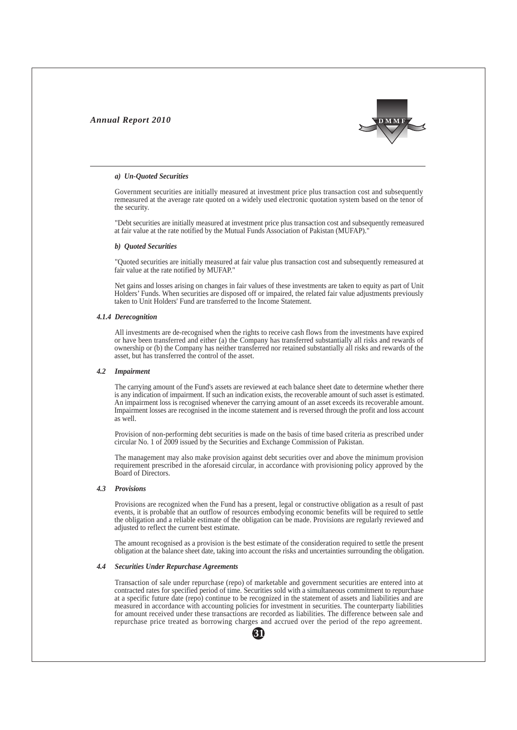

#### *a) Un-Quoted Securities*

Government securities are initially measured at investment price plus transaction cost and subsequently remeasured at the average rate quoted on a widely used electronic quotation system based on the tenor of the security.

"Debt securities are initially measured at investment price plus transaction cost and subsequently remeasured at fair value at the rate notified by the Mutual Funds Association of Pakistan (MUFAP)."

#### *b) Quoted Securities*

"Quoted securities are initially measured at fair value plus transaction cost and subsequently remeasured at fair value at the rate notified by MUFAP."

Net gains and losses arising on changes in fair values of these investments are taken to equity as part of Unit Holders' Funds. When securities are disposed off or impaired, the related fair value adjustments previously taken to Unit Holders' Fund are transferred to the Income Statement.

#### *4.1.4 Derecognition*

All investments are de-recognised when the rights to receive cash flows from the investments have expired or have been transferred and either (a) the Company has transferred substantially all risks and rewards of ownership or (b) the Company has neither transferred nor retained substantially all risks and rewards of the asset, but has transferred the control of the asset.

#### *4.2 Impairment*

The carrying amount of the Fund's assets are reviewed at each balance sheet date to determine whether there is any indication of impairment. If such an indication exists, the recoverable amount of such asset is estimated. An impairment loss is recognised whenever the carrying amount of an asset exceeds its recoverable amount. Impairment losses are recognised in the income statement and is reversed through the profit and loss account as well.

Provision of non-performing debt securities is made on the basis of time based criteria as prescribed under circular No. 1 of 2009 issued by the Securities and Exchange Commission of Pakistan.

The management may also make provision against debt securities over and above the minimum provision requirement prescribed in the aforesaid circular, in accordance with provisioning policy approved by the Board of Directors.

#### *4.3 Provisions*

Provisions are recognized when the Fund has a present, legal or constructive obligation as a result of past events, it is probable that an outflow of resources embodying economic benefits will be required to settle the obligation and a reliable estimate of the obligation can be made. Provisions are regularly reviewed and adjusted to reflect the current best estimate.

The amount recognised as a provision is the best estimate of the consideration required to settle the present obligation at the balance sheet date, taking into account the risks and uncertainties surrounding the obligation.

#### *4.4 Securities Under Repurchase Agreements*

Transaction of sale under repurchase (repo) of marketable and government securities are entered into at contracted rates for specified period of time. Securities sold with a simultaneous commitment to repurchase at a specific future date (repo) continue to be recognized in the statement of assets and liabilities and are measured in accordance with accounting policies for investment in securities. The counterparty liabilities for amount received under these transactions are recorded as liabilities. The difference between sale and repurchase price treated as borrowing charges and accrued over the period of the repo agreement.

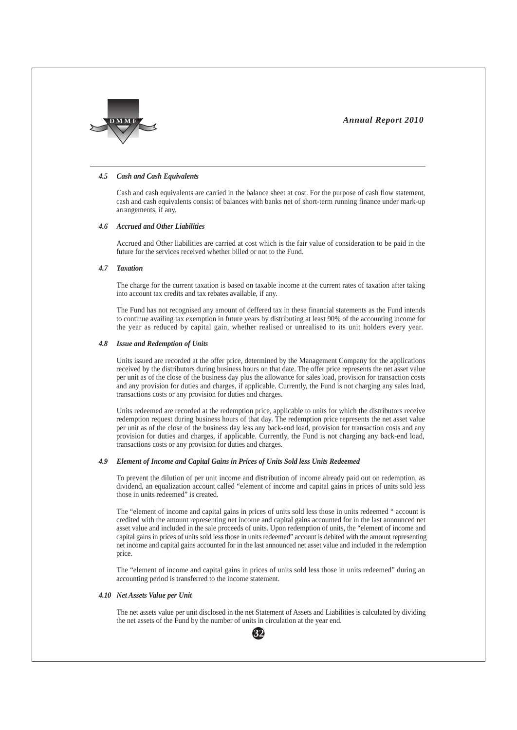

#### *4.5 Cash and Cash Equivalents*

Cash and cash equivalents are carried in the balance sheet at cost. For the purpose of cash flow statement, cash and cash equivalents consist of balances with banks net of short-term running finance under mark-up arrangements, if any.

#### *4.6 Accrued and Other Liabilities*

Accrued and Other liabilities are carried at cost which is the fair value of consideration to be paid in the future for the services received whether billed or not to the Fund.

#### *4.7 Taxation*

The charge for the current taxation is based on taxable income at the current rates of taxation after taking into account tax credits and tax rebates available, if any.

The Fund has not recognised any amount of deffered tax in these financial statements as the Fund intends to continue availing tax exemption in future years by distributing at least 90% of the accounting income for the year as reduced by capital gain, whether realised or unrealised to its unit holders every year.

#### *4.8 Issue and Redemption of Units*

Units issued are recorded at the offer price, determined by the Management Company for the applications received by the distributors during business hours on that date. The offer price represents the net asset value per unit as of the close of the business day plus the allowance for sales load, provision for transaction costs and any provision for duties and charges, if applicable. Currently, the Fund is not charging any sales load, transactions costs or any provision for duties and charges.

Units redeemed are recorded at the redemption price, applicable to units for which the distributors receive redemption request during business hours of that day. The redemption price represents the net asset value per unit as of the close of the business day less any back-end load, provision for transaction costs and any provision for duties and charges, if applicable. Currently, the Fund is not charging any back-end load, transactions costs or any provision for duties and charges.

#### *4.9 Element of Income and Capital Gains in Prices of Units Sold less Units Redeemed*

To prevent the dilution of per unit income and distribution of income already paid out on redemption, as dividend, an equalization account called "element of income and capital gains in prices of units sold less those in units redeemed" is created.

The "element of income and capital gains in prices of units sold less those in units redeemed " account is credited with the amount representing net income and capital gains accounted for in the last announced net asset value and included in the sale proceeds of units. Upon redemption of units, the "element of income and capital gains in prices of units sold less those in units redeemed" account is debited with the amount representing net income and capital gains accounted for in the last announced net asset value and included in the redemption price.

The "element of income and capital gains in prices of units sold less those in units redeemed" during an accounting period is transferred to the income statement.

#### *4.10 Net Assets Value per Unit*

The net assets value per unit disclosed in the net Statement of Assets and Liabilities is calculated by dividing the net assets of the Fund by the number of units in circulation at the year end.

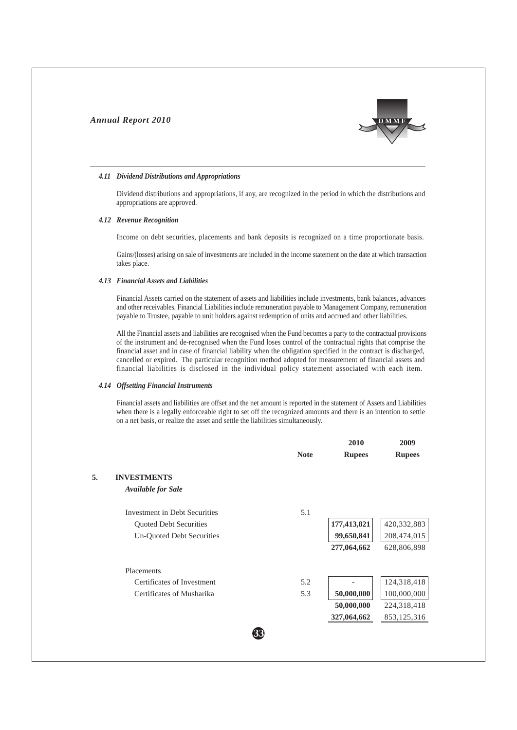

#### *4.11 Dividend Distributions and Appropriations*

Dividend distributions and appropriations, if any, are recognized in the period in which the distributions and appropriations are approved.

#### *4.12 Revenue Recognition*

Income on debt securities, placements and bank deposits is recognized on a time proportionate basis.

Gains/(losses) arising on sale of investments are included in the income statement on the date at which transaction takes place.

# *4.13 Financial Assets and Liabilities*

Financial Assets carried on the statement of assets and liabilities include investments, bank balances, advances and other receivables. Financial Liabilities include remuneration payable to Management Company, remuneration payable to Trustee, payable to unit holders against redemption of units and accrued and other liabilities.

All the Financial assets and liabilities are recognised when the Fund becomes a party to the contractual provisions of the instrument and de-recognised when the Fund loses control of the contractual rights that comprise the financial asset and in case of financial liability when the obligation specified in the contract is discharged, cancelled or expired. The particular recognition method adopted for measurement of financial assets and financial liabilities is disclosed in the individual policy statement associated with each item.

#### *4.14 Offsetting Financial Instruments*

Financial assets and liabilities are offset and the net amount is reported in the statement of Assets and Liabilities when there is a legally enforceable right to set off the recognized amounts and there is an intention to settle on a net basis, or realize the asset and settle the liabilities simultaneously.

|    |                                      |             | 2010          | 2009          |
|----|--------------------------------------|-------------|---------------|---------------|
|    |                                      | <b>Note</b> | <b>Rupees</b> | <b>Rupees</b> |
| 5. | <b>INVESTMENTS</b>                   |             |               |               |
|    | Available for Sale                   |             |               |               |
|    | <b>Investment in Debt Securities</b> | 5.1         |               |               |
|    | <b>Quoted Debt Securities</b>        |             | 177,413,821   | 420,332,883   |
|    | Un-Quoted Debt Securities            |             | 99,650,841    | 208,474,015   |
|    |                                      |             | 277,064,662   | 628,806,898   |
|    | Placements                           |             |               |               |
|    | Certificates of Investment           | 5.2         |               | 124,318,418   |
|    | Certificates of Musharika            | 5.3         | 50,000,000    | 100,000,000   |
|    |                                      |             | 50,000,000    | 224,318,418   |
|    |                                      |             | 327,064,662   | 853,125,316   |
|    |                                      | 33          |               |               |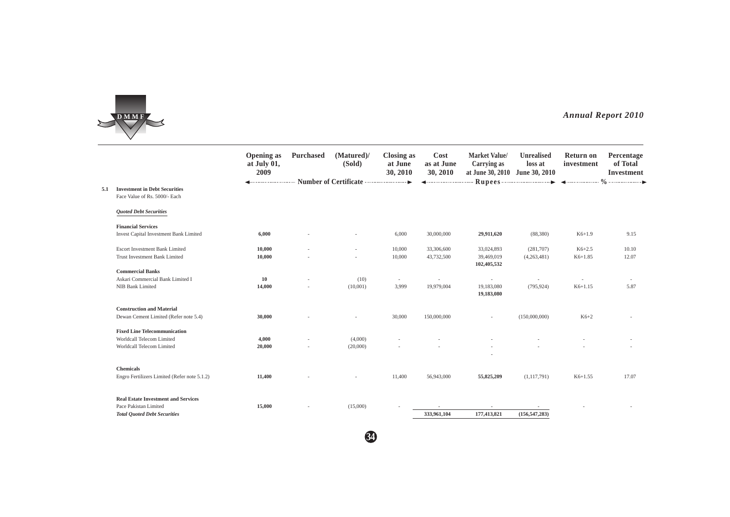

**DMMF** *Annual Report 2010*

|     |                                                                       | <b>Opening as</b><br>at July 01,<br>2009 | Purchased | (Matured)/<br>(Sold) | <b>Closing as</b><br>at June<br>30, 2010 | Cost<br>as at June<br>30, 2010 | <b>Market Value/</b><br>Carrying as<br>at June 30, 2010 | <b>Unrealised</b><br>loss at<br>June 30, 2010 | <b>Return on</b><br>investment | Percentage<br>of Total<br><b>Investment</b> |
|-----|-----------------------------------------------------------------------|------------------------------------------|-----------|----------------------|------------------------------------------|--------------------------------|---------------------------------------------------------|-----------------------------------------------|--------------------------------|---------------------------------------------|
|     |                                                                       |                                          |           |                      |                                          |                                |                                                         |                                               |                                |                                             |
| 5.1 | <b>Investment in Debt Securities</b><br>Face Value of Rs. 5000/- Each |                                          |           |                      |                                          |                                |                                                         |                                               |                                |                                             |
|     | Quoted Debt Securities                                                |                                          |           |                      |                                          |                                |                                                         |                                               |                                |                                             |
|     | <b>Financial Services</b>                                             |                                          |           |                      |                                          |                                |                                                         |                                               |                                |                                             |
|     | Invest Capital Investment Bank Limited                                | 6,000                                    |           |                      | 6,000                                    | 30,000,000                     | 29,911,620                                              | (88,380)                                      | $K6+1.9$                       | 9.15                                        |
|     | <b>Escort Investment Bank Limited</b>                                 | 10,000                                   |           |                      | 10,000                                   | 33,306,600                     | 33,024,893                                              | (281,707)                                     | $K6+2.5$                       | 10.10                                       |
|     | Trust Investment Bank Limited                                         | 10,000                                   |           |                      | 10,000                                   | 43,732,500                     | 39,469,019<br>102,405,532                               | (4,263,481)                                   | $K6+1.85$                      | 12.07                                       |
|     | <b>Commercial Banks</b>                                               |                                          |           |                      |                                          |                                |                                                         |                                               |                                |                                             |
|     | Askari Commercial Bank Limited I                                      | 10                                       |           | (10)                 | $\sim$                                   |                                | $\overline{\phantom{a}}$                                |                                               |                                |                                             |
|     | NIB Bank Limited                                                      | 14,000                                   |           | (10,001)             | 3,999                                    | 19,979,004                     | 19,183,080<br>19,183,080                                | (795, 924)                                    | $K6+1.15$                      | 5.87                                        |
|     | <b>Construction and Material</b>                                      |                                          |           |                      |                                          |                                |                                                         |                                               |                                |                                             |
|     | Dewan Cement Limited (Refer note 5.4)                                 | 30,000                                   |           |                      | 30,000                                   | 150,000,000                    | ٠                                                       | (150,000,000)                                 | $K6+2$                         |                                             |
|     | <b>Fixed Line Telecommunication</b>                                   |                                          |           |                      |                                          |                                |                                                         |                                               |                                |                                             |
|     | Worldcall Telecom Limited                                             | 4,000                                    |           | (4,000)              |                                          |                                |                                                         |                                               |                                |                                             |
|     | Worldcall Telecom Limited                                             | 20,000                                   |           | (20,000)             |                                          |                                |                                                         |                                               |                                |                                             |
|     | <b>Chemicals</b>                                                      |                                          |           |                      |                                          |                                |                                                         |                                               |                                |                                             |
|     | Engro Fertilizers Limited (Refer note 5.1.2)                          | 11,400                                   |           |                      | 11,400                                   | 56,943,000                     | 55,825,209                                              | (1, 117, 791)                                 | $K6+1.55$                      | 17.07                                       |
|     | <b>Real Estate Investment and Services</b>                            |                                          |           |                      |                                          |                                |                                                         |                                               |                                |                                             |
|     | Pace Pakistan Limited                                                 | 15,000                                   |           | (15,000)             |                                          |                                |                                                         |                                               |                                |                                             |
|     | <b>Total Quoted Debt Securities</b>                                   |                                          |           |                      |                                          | 333,961,104                    | 177,413,821                                             | (156, 547, 283)                               |                                |                                             |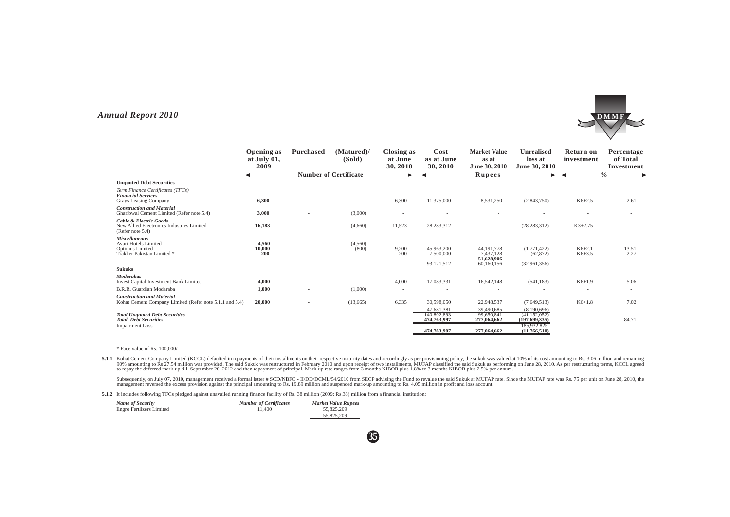

|                                                                                             | <b>Opening as</b><br>at July 01,<br>2009 | <b>Purchased</b>         | (Matured)/<br>(Sold)     | Closing as<br>at June<br>30, 2010 | Cost<br>as at June<br>30, 2010           | <b>Market Value</b><br>as at<br>June 30, 2010                                                                                                                                                                                                                                                                                                                                                                                                                                                    | <b>Unrealised</b><br>loss at<br>June 30, 2010 | <b>Return on</b><br>investment | Percentage<br>of Total<br><b>Investment</b> |
|---------------------------------------------------------------------------------------------|------------------------------------------|--------------------------|--------------------------|-----------------------------------|------------------------------------------|--------------------------------------------------------------------------------------------------------------------------------------------------------------------------------------------------------------------------------------------------------------------------------------------------------------------------------------------------------------------------------------------------------------------------------------------------------------------------------------------------|-----------------------------------------------|--------------------------------|---------------------------------------------|
|                                                                                             |                                          |                          |                          |                                   |                                          | $\leftarrow$ $\leftarrow$ $\leftarrow$ $\leftarrow$ $\leftarrow$ $\leftarrow$ $\leftarrow$ $\leftarrow$ $\leftarrow$ $\leftarrow$ $\leftarrow$ $\leftarrow$ $\leftarrow$ $\leftarrow$ $\leftarrow$ $\leftarrow$ $\leftarrow$ $\leftarrow$ $\leftarrow$ $\leftarrow$ $\leftarrow$ $\leftarrow$ $\leftarrow$ $\leftarrow$ $\leftarrow$ $\leftarrow$ $\leftarrow$ $\leftarrow$ $\leftarrow$ $\leftarrow$ $\leftarrow$ $\leftarrow$ $\leftarrow$ $\leftarrow$ $\leftarrow$ $\leftarrow$ $\leftarrow$ |                                               |                                |                                             |
| <b>Unquoted Debt Securities</b>                                                             |                                          |                          |                          |                                   |                                          |                                                                                                                                                                                                                                                                                                                                                                                                                                                                                                  |                                               |                                |                                             |
| Term Finance Certificates (TFCs)<br><b>Financial Services</b><br>Grays Leasing Company      | 6,300                                    |                          | ٠                        | 6,300                             | 11,375,000                               | 8,531,250                                                                                                                                                                                                                                                                                                                                                                                                                                                                                        | (2,843,750)                                   | $K6+2.5$                       | 2.61                                        |
| <b>Construction and Material</b><br>Gharibwal Cement Limited (Refer note 5.4)               | 3,000                                    |                          | (3,000)                  |                                   | $\overline{\phantom{a}}$                 | ٠                                                                                                                                                                                                                                                                                                                                                                                                                                                                                                |                                               |                                |                                             |
| Cable & Electric Goods<br>New Allied Electronics Industries Limited<br>(Refer note 5.4)     | 16,183                                   |                          | (4,660)                  | 11,523                            | 28,283,312                               | $\overline{\phantom{a}}$                                                                                                                                                                                                                                                                                                                                                                                                                                                                         | (28, 283, 312)                                | $K3+2.75$                      |                                             |
| Miscellaneous<br>Avari Hotels Limited<br>Optimus Limited<br>Trakker Pakistan Limited *      | 4.560<br>10,000<br>200                   |                          | (4,560)<br>(800)         | 9,200<br>200                      | 45,963,200<br>7,500,000                  | 44.191.778<br>7,437,128<br>51,628,906                                                                                                                                                                                                                                                                                                                                                                                                                                                            | (1,771,422)<br>(62, 872)                      | $K6+2.1$<br>$K6+3.5$           | 13.51<br>2.27                               |
|                                                                                             |                                          |                          |                          |                                   | 93,121,512                               | 60,160,156                                                                                                                                                                                                                                                                                                                                                                                                                                                                                       | (32,961,356)                                  |                                |                                             |
| <b>Sukuks</b>                                                                               |                                          |                          |                          |                                   |                                          |                                                                                                                                                                                                                                                                                                                                                                                                                                                                                                  |                                               |                                |                                             |
| <b>Modarabas</b><br><b>Invest Capital Investment Bank Limited</b>                           | 4.000                                    | $\overline{\phantom{a}}$ | $\overline{\phantom{a}}$ | 4,000                             | 17,083,331                               | 16,542,148                                                                                                                                                                                                                                                                                                                                                                                                                                                                                       | (541, 183)                                    | $K6+1.9$                       | 5.06                                        |
| B.R.R. Guardian Modaraba                                                                    | 1,000                                    |                          | (1,000)                  |                                   |                                          |                                                                                                                                                                                                                                                                                                                                                                                                                                                                                                  |                                               |                                |                                             |
| <b>Construction and Material</b><br>Kohat Cement Company Limited (Refer note 5.1.1 and 5.4) | 20,000                                   |                          | (13,665)                 | 6,335                             | 30,598,050                               | 22,948,537                                                                                                                                                                                                                                                                                                                                                                                                                                                                                       | (7,649,513)                                   | $K6+1.8$                       | 7.02                                        |
| <b>Total Unquoted Debt Securities</b><br><b>Total Debt Securities</b>                       |                                          |                          |                          |                                   | 47.681.381<br>140,802,893<br>474,763,997 | 39,490,685<br>99,650,841                                                                                                                                                                                                                                                                                                                                                                                                                                                                         | (8,190,696)<br>(41.152.052)                   |                                | 84.71                                       |
| <b>Impairment Loss</b>                                                                      |                                          |                          |                          |                                   |                                          | 277,064,662                                                                                                                                                                                                                                                                                                                                                                                                                                                                                      | (197, 699, 335)<br>185,932,825                |                                |                                             |
|                                                                                             |                                          |                          |                          |                                   | 474,763,997                              | 277,064,662                                                                                                                                                                                                                                                                                                                                                                                                                                                                                      | (11,766,510)                                  |                                |                                             |

\* Face value of Rs. 100,000/-

5.1.1 Kohat Cement Company Limited (KCCL) defaulted in repayments of their installments on their respective maturity dates and accordingly as per provisioning policy, the sukuk was valued at 10% of its cost amounting to Rs

**35**

Subsequently, on July 07, 2010, management received a formal letter # SCD/NBFC - II/DD/DCML/54/2010 from SECP advising the Fund to revalue the said Sukuk at MUFAP rate. Since the MUFAP rate was Rs. 75 per unit on June 28,

**5.1.2** It includes following TFCs pledged against unavailed running finance facility of Rs. 38 million (2009: Rs.38) million from a financial institution:

| Name of Security         | Number of Certificates | Market Value Rupees |
|--------------------------|------------------------|---------------------|
| Engro Fertlizers Limited | 11.400                 | 55,825,209          |
|                          |                        | 55,825,209          |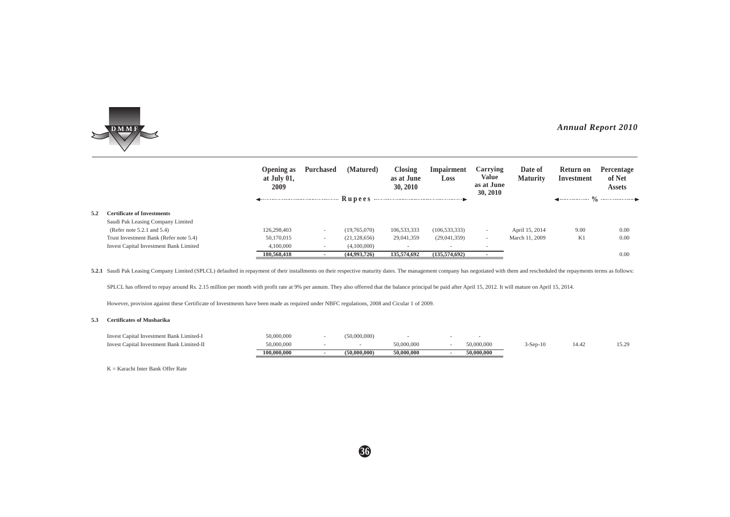

|     |                                               | Opening as<br>at July 01,<br>2009 | <b>Purchased</b>         | (Matured)      | <b>Closing</b><br>as at June<br>30, 2010 | Impairment<br>Loss       | Carrying<br>Value<br>as at June<br>30, 2010 | Date of<br><b>Maturity</b> | Return on<br>Investment | Percentage<br>of Net<br><b>Assets</b> |
|-----|-----------------------------------------------|-----------------------------------|--------------------------|----------------|------------------------------------------|--------------------------|---------------------------------------------|----------------------------|-------------------------|---------------------------------------|
|     |                                               |                                   |                          |                |                                          |                          |                                             |                            |                         |                                       |
| 5.2 | <b>Certificate of Investments</b>             |                                   |                          |                |                                          |                          |                                             |                            |                         |                                       |
|     | Saudi Pak Leasing Company Limited             |                                   |                          |                |                                          |                          |                                             |                            |                         |                                       |
|     | (Refer note $5.2.1$ and $5.4$ )               | 126,298,403                       | . .                      | (19,765,070)   | 106,533,333                              | (106, 533, 333)          | $\sim$                                      | April 15, 2014             | 9.00                    | 0.00                                  |
|     | Trust Investment Bank (Refer note 5.4)        | 50,170,015                        | . .                      | (21, 128, 656) | 29,041,359                               | (29,041,359)             | $\sim$                                      | March 11, 2009             | K1                      | 0.00                                  |
|     | <b>Invest Capital Investment Bank Limited</b> | 4,100,000                         | $\overline{\phantom{a}}$ | (4,100,000)    |                                          | $\overline{\phantom{a}}$ | $\,$                                        |                            |                         |                                       |
|     |                                               | 180,568,418                       |                          | (44,993,726)   | 135,574,692                              | (135.574.692)            |                                             |                            |                         | 0.00                                  |

5.2.1 Saudi Pak Leasing Company Limited (SPLCL) defaulted in repayment of their installments on their respective maturity dates. The management company has negotiated with them and rescheduled the repayments terms as follo

SPLCL has offered to repay around Rs. 2.15 million per month with profit rate at 9% per annum. They also offerred that the balance principal be paid after April 15, 2012. It will mature on April 15, 2014.

However, provision against these Certificate of Investments have been made as required under NBFC regulations, 2008 and Cicular 1 of 2009.

#### **5.3 Certificates of Musharika**

|                                           | 100,000,000 | (50,000,000) | 50,000,000 | 50,000,000 |                |       |              |
|-------------------------------------------|-------------|--------------|------------|------------|----------------|-------|--------------|
| Invest Capital Investment Bank Limited-II | 50,000,000  |              | 50,000,000 | 50,000,000 | $3-$ Sep $-10$ | 14.42 | 520<br>LJ.Z. |
| Invest Capital Investment Bank Limited-I  | 50.000.000  | (50,000,000) |            |            |                |       |              |

K = Karachi Inter Bank Offer Rate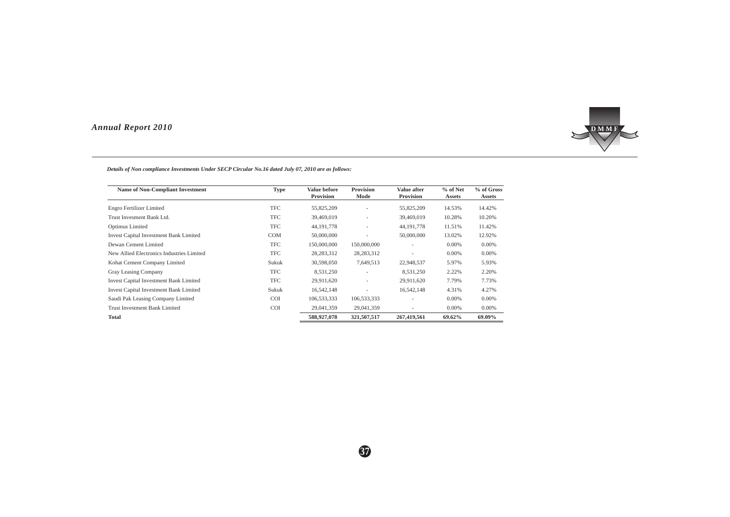

*Details of Non compliance Investments Under SECP Circular No.16 dated July 07, 2010 are as follows:*

| <b>Name of Non-Compliant Investment</b>   | <b>Type</b> | Value before<br>Provision | <b>Provision</b><br>Mode | Value after<br>Provision | % of Net<br><b>Assets</b> | % of Gross<br><b>Assets</b> |
|-------------------------------------------|-------------|---------------------------|--------------------------|--------------------------|---------------------------|-----------------------------|
| Engro Fertilizer Limited                  | <b>TFC</b>  | 55,825,209                |                          | 55,825,209               | 14.53%                    | 14.42%                      |
| Trust Invesment Bank Ltd.                 | <b>TFC</b>  | 39,469,019                | ۰                        | 39,469,019               | 10.28%                    | 10.20%                      |
| Optimus Limited                           | <b>TFC</b>  | 44, 191, 778              |                          | 44, 191, 778             | 11.51%                    | 11.42%                      |
| Invest Capital Investment Bank Limited    | <b>COM</b>  | 50,000,000                | ۰                        | 50,000,000               | 13.02%                    | 12.92%                      |
| Dewan Cement Limited                      | <b>TFC</b>  | 150,000,000               | 150,000,000              |                          | $0.00\%$                  | 0.00%                       |
| New Allied Electronics Industries Limited | <b>TFC</b>  | 28, 283, 312              | 28, 283, 312             |                          | 0.00%                     | 0.00%                       |
| Kohat Cement Company Limited              | Sukuk       | 30,598,050                | 7,649,513                | 22,948,537               | 5.97%                     | 5.93%                       |
| Gray Leasing Company                      | <b>TFC</b>  | 8,531,250                 |                          | 8,531,250                | 2.22%                     | 2.20%                       |
| Invest Capital Investment Bank Limited    | <b>TFC</b>  | 29,911,620                | ۰                        | 29,911,620               | 7.79%                     | 7.73%                       |
| Invest Capital Investment Bank Limited    | Sukuk       | 16,542,148                | ٠                        | 16,542,148               | 4.31%                     | 4.27%                       |
| Saudi Pak Leasing Company Limited         | <b>COI</b>  | 106,533,333               | 106,533,333              | $\sim$                   | $0.00\%$                  | 0.00%                       |
| Trust Investment Bank Limited             | <b>COI</b>  | 29,041,359                | 29,041,359               | $\sim$                   | 0.00%                     | 0.00%                       |
| <b>Total</b>                              |             | 588,927,078               | 321,507,517              | 267,419,561              | 69.62%                    | 69.09%                      |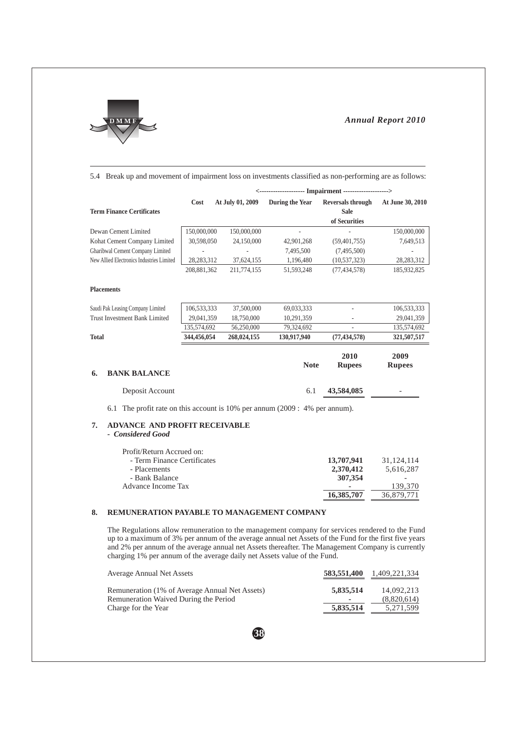

5.4 Break up and movement of impairment loss on investments classified as non-performing are as follows:

|                                                                                |              |                  |                 | <-------------------- Impairment -------------------> |                  |
|--------------------------------------------------------------------------------|--------------|------------------|-----------------|-------------------------------------------------------|------------------|
|                                                                                | Cost         | At July 01, 2009 | During the Year | Reversals through                                     | At June 30, 2010 |
| <b>Term Finance Certificates</b>                                               |              |                  |                 | <b>Sale</b>                                           |                  |
|                                                                                |              |                  |                 | of Securities                                         |                  |
| Dewan Cement Limited                                                           | 150,000,000  | 150,000,000      |                 |                                                       | 150,000,000      |
| Kohat Cement Company Limited                                                   | 30,598,050   | 24,150,000       | 42,901,268      | (59, 401, 755)                                        | 7,649,513        |
| Gharibwal Cement Company Limited                                               |              |                  | 7,495,500       | (7,495,500)                                           |                  |
| New Allied Electronics Industries Limited                                      | 28, 283, 312 | 37,624,155       | 1,196,480       | (10, 537, 323)                                        | 28,283,312       |
|                                                                                | 208,881,362  | 211,774,155      | 51, 593, 248    | (77, 434, 578)                                        | 185,932,825      |
|                                                                                |              |                  |                 |                                                       |                  |
| <b>Placements</b>                                                              |              |                  |                 |                                                       |                  |
| Saudi Pak Leasing Company Limited                                              | 106,533,333  | 37,500,000       | 69,033,333      |                                                       | 106,533,333      |
| Trust Investment Bank Limited                                                  | 29,041,359   | 18,750,000       | 10,291,359      |                                                       | 29,041,359       |
|                                                                                | 135,574,692  | 56,250,000       | 79,324,692      |                                                       | 135,574,692      |
| <b>Total</b>                                                                   | 344,456,054  | 268,024,155      | 130,917,940     | (77, 434, 578)                                        | 321,507,517      |
|                                                                                |              |                  |                 |                                                       |                  |
|                                                                                |              |                  |                 | 2010                                                  | 2009             |
|                                                                                |              |                  | <b>Note</b>     | <b>Rupees</b>                                         | <b>Rupees</b>    |
| <b>BANK BALANCE</b><br>6.                                                      |              |                  |                 |                                                       |                  |
| Deposit Account                                                                |              |                  | 6.1             | 43,584,085                                            |                  |
| The profit rate on this account is 10% per annum (2009 : 4% per annum).<br>6.1 |              |                  |                 |                                                       |                  |
| <b>ADVANCE AND PROFIT RECEIVABLE</b><br>7.<br>- Considered Good                |              |                  |                 |                                                       |                  |

| Profit/Return Accrued on:   |            |            |
|-----------------------------|------------|------------|
| - Term Finance Certificates | 13,707,941 | 31.124.114 |
| - Placements                | 2,370,412  | 5,616,287  |
| - Bank Balance              | 307,354    |            |
| Advance Income Tax          |            | 139.370    |
|                             | 16,385,707 | 36,879,771 |

#### **8. REMUNERATION PAYABLE TO MANAGEMENT COMPANY**

The Regulations allow remuneration to the management company for services rendered to the Fund up to a maximum of 3% per annum of the average annual net Assets of the Fund for the first five years and 2% per annum of the average annual net Assets thereafter. The Management Company is currently charging 1% per annum of the average daily net Assets value of the Fund.

| Average Annual Net Assets                      | 583,551,400 | 1,409,221,334 |
|------------------------------------------------|-------------|---------------|
| Remuneration (1% of Average Annual Net Assets) | 5,835,514   | 14,092,213    |
| Remuneration Waived During the Period          |             | (8,820,614)   |
| Charge for the Year                            | 5,835,514   | 5.271.599     |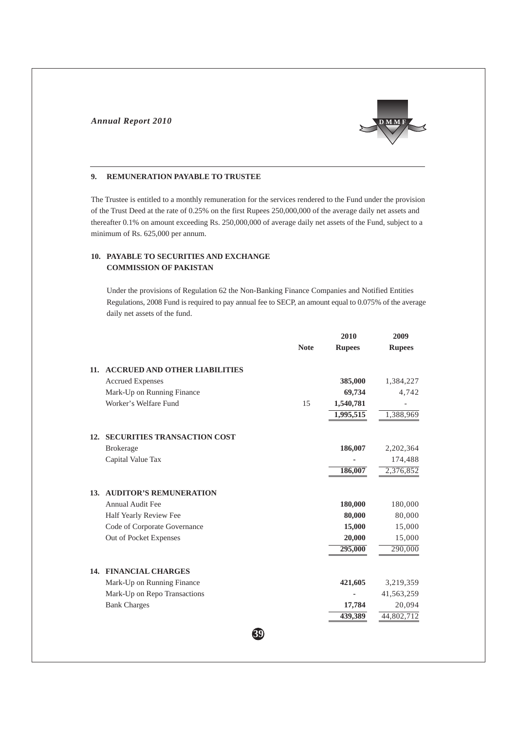

# **9. REMUNERATION PAYABLE TO TRUSTEE**

The Trustee is entitled to a monthly remuneration for the services rendered to the Fund under the provision of the Trust Deed at the rate of 0.25% on the first Rupees 250,000,000 of the average daily net assets and thereafter 0.1% on amount exceeding Rs. 250,000,000 of average daily net assets of the Fund, subject to a minimum of Rs. 625,000 per annum.

# **10. PAYABLE TO SECURITIES AND EXCHANGE COMMISSION OF PAKISTAN**

Under the provisions of Regulation 62 the Non-Banking Finance Companies and Notified Entities Regulations, 2008 Fund is required to pay annual fee to SECP, an amount equal to 0.075% of the average daily net assets of the fund.

|     |                                      |             | 2010          | 2009          |
|-----|--------------------------------------|-------------|---------------|---------------|
|     |                                      | <b>Note</b> | <b>Rupees</b> | <b>Rupees</b> |
| 11. | <b>ACCRUED AND OTHER LIABILITIES</b> |             |               |               |
|     | <b>Accrued Expenses</b>              |             | 385,000       | 1,384,227     |
|     | Mark-Up on Running Finance           |             | 69,734        | 4,742         |
|     | Worker's Welfare Fund                | 15          | 1,540,781     |               |
|     |                                      |             | 1,995,515     | 1,388,969     |
| 12. | <b>SECURITIES TRANSACTION COST</b>   |             |               |               |
|     | <b>Brokerage</b>                     |             | 186,007       | 2,202,364     |
|     | Capital Value Tax                    |             |               | 174,488       |
|     |                                      |             | 186,007       | 2,376,852     |
| 13. | <b>AUDITOR'S REMUNERATION</b>        |             |               |               |
|     | Annual Audit Fee                     |             | 180,000       | 180,000       |
|     | Half Yearly Review Fee               |             | 80,000        | 80,000        |
|     | Code of Corporate Governance         |             | 15,000        | 15,000        |
|     | Out of Pocket Expenses               |             | 20,000        | 15,000        |
|     |                                      |             | 295,000       | 290,000       |
| 14. | <b>FINANCIAL CHARGES</b>             |             |               |               |
|     | Mark-Up on Running Finance           |             | 421,605       | 3,219,359     |
|     | Mark-Up on Repo Transactions         |             |               | 41,563,259    |
|     | <b>Bank Charges</b>                  |             | 17,784        | 20,094        |
|     |                                      |             | 439,389       | 44,802,712    |
|     | 39                                   |             |               |               |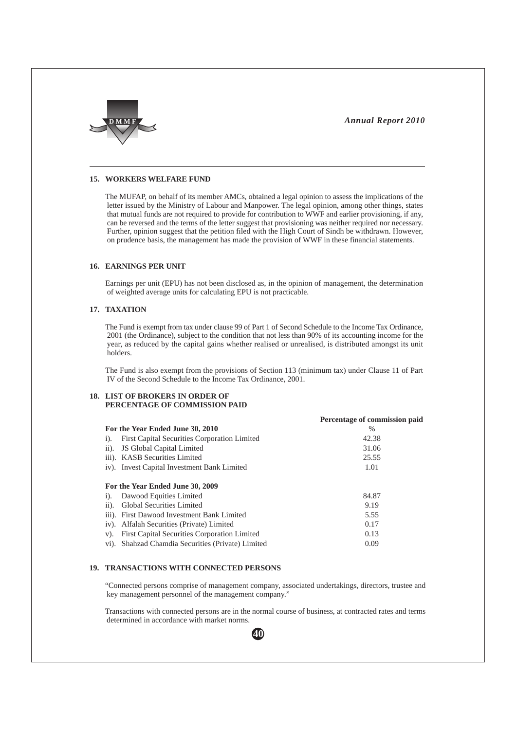

#### **15. WORKERS WELFARE FUND**

The MUFAP, on behalf of its member AMCs, obtained a legal opinion to assess the implications of the letter issued by the Ministry of Labour and Manpower. The legal opinion, among other things, states that mutual funds are not required to provide for contribution to WWF and earlier provisioning, if any, can be reversed and the terms of the letter suggest that provisioning was neither required nor necessary. Further, opinion suggest that the petition filed with the High Court of Sindh be withdrawn. However, on prudence basis, the management has made the provision of WWF in these financial statements.

#### **16. EARNINGS PER UNIT**

Earnings per unit (EPU) has not been disclosed as, in the opinion of management, the determination of weighted average units for calculating EPU is not practicable.

#### **17. TAXATION**

The Fund is exempt from tax under clause 99 of Part 1 of Second Schedule to the Income Tax Ordinance, 2001 (the Ordinance), subject to the condition that not less than 90% of its accounting income for the year, as reduced by the capital gains whether realised or unrealised, is distributed amongst its unit holders.

The Fund is also exempt from the provisions of Section 113 (minimum tax) under Clause 11 of Part IV of the Second Schedule to the Income Tax Ordinance, 2001.

#### **18. LIST OF BROKERS IN ORDER OF PERCENTAGE OF COMMISSION PAID**

|                                                                       | Percentage of commission paid |
|-----------------------------------------------------------------------|-------------------------------|
| For the Year Ended June 30, 2010                                      | $\frac{0}{0}$                 |
| <b>First Capital Securities Corporation Limited</b><br>$\mathbf{i}$ . | 42.38                         |
| JS Global Capital Limited<br>$\overline{11}$ ).                       | 31.06                         |
| iii). KASB Securities Limited                                         | 25.55                         |
| iv). Invest Capital Investment Bank Limited                           | 1.01                          |
| For the Year Ended June 30, 2009                                      |                               |
| Dawood Equities Limited<br>$\ddot{1}$ .                               | 84.87                         |
| Global Securities Limited<br>$\ddot{\mathrm{11}}$ .                   | 9.19                          |
| iii). First Dawood Investment Bank Limited                            | 5.55                          |
| Alfalah Securities (Private) Limited<br>$iv)$ .                       | 0.17                          |
| <b>First Capital Securities Corporation Limited</b><br>V).            | 0.13                          |
| vi). Shahzad Chamdia Securities (Private) Limited                     | 0.09                          |

#### **19. TRANSACTIONS WITH CONNECTED PERSONS**

"Connected persons comprise of management company, associated undertakings, directors, trustee and key management personnel of the management company."

Transactions with connected persons are in the normal course of business, at contracted rates and terms determined in accordance with market norms.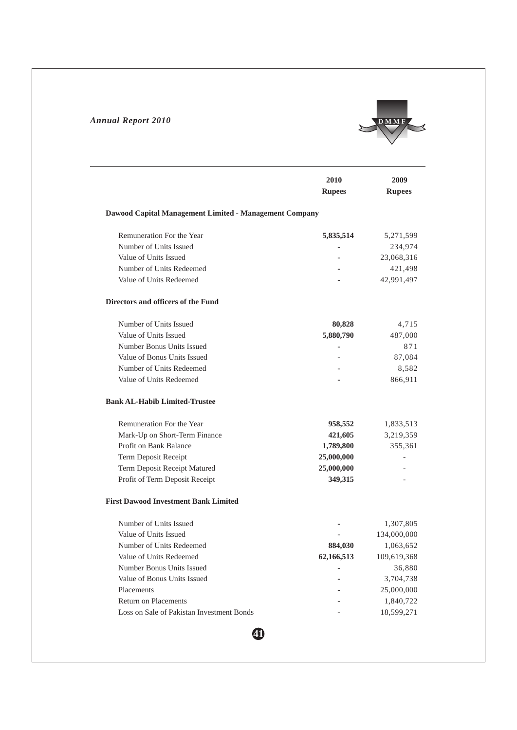# *Annual Report 2010* **DMMF**



|                                                        | <b>2010</b><br><b>Rupees</b> | 2009<br><b>Rupees</b> |
|--------------------------------------------------------|------------------------------|-----------------------|
| Dawood Capital Management Limited - Management Company |                              |                       |
| Remuneration For the Year                              | 5,835,514                    | 5,271,599             |
| Number of Units Issued                                 |                              | 234,974               |
| Value of Units Issued                                  |                              | 23,068,316            |
| Number of Units Redeemed                               |                              | 421,498               |
| Value of Units Redeemed                                |                              | 42,991,497            |
| Directors and officers of the Fund                     |                              |                       |
| Number of Units Issued                                 | 80,828                       | 4,715                 |
| Value of Units Issued                                  | 5,880,790                    | 487,000               |
| Number Bonus Units Issued                              |                              | 871                   |
| Value of Bonus Units Issued                            |                              | 87,084                |
| Number of Units Redeemed                               |                              | 8,582                 |
| Value of Units Redeemed                                |                              | 866,911               |
| <b>Bank AL-Habib Limited-Trustee</b>                   |                              |                       |
| Remuneration For the Year                              | 958,552                      | 1,833,513             |
| Mark-Up on Short-Term Finance                          | 421,605                      | 3,219,359             |
| Profit on Bank Balance                                 | 1,789,800                    | 355,361               |
| Term Deposit Receipt                                   | 25,000,000                   |                       |
| Term Deposit Receipt Matured                           | 25,000,000                   |                       |
| Profit of Term Deposit Receipt                         | 349,315                      |                       |
| <b>First Dawood Investment Bank Limited</b>            |                              |                       |
| Number of Units Issued                                 |                              | 1,307,805             |
| Value of Units Issued                                  |                              | 134,000,000           |
| Number of Units Redeemed                               | 884,030                      | 1,063,652             |
| Value of Units Redeemed                                | 62,166,513                   | 109,619,368           |
| Number Bonus Units Issued                              |                              | 36,880                |
| Value of Bonus Units Issued                            |                              | 3,704,738             |
| Placements                                             |                              | 25,000,000            |
| <b>Return on Placements</b>                            |                              | 1,840,722             |
|                                                        |                              |                       |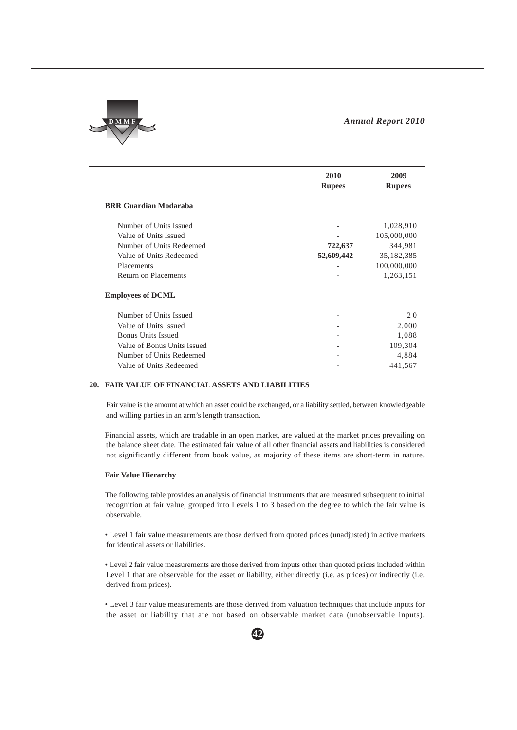

|                              | 2010<br><b>Rupees</b> | 2009<br><b>Rupees</b> |
|------------------------------|-----------------------|-----------------------|
| <b>BRR Guardian Modaraba</b> |                       |                       |
| Number of Units Issued       |                       | 1,028,910             |
| Value of Units Issued        |                       | 105,000,000           |
| Number of Units Redeemed     | 722,637               | 344,981               |
| Value of Units Redeemed      | 52,609,442            | 35,182,385            |
| Placements                   |                       | 100,000,000           |
| <b>Return on Placements</b>  |                       | 1,263,151             |
| <b>Employees of DCML</b>     |                       |                       |
| Number of Units Issued       |                       | 20                    |
| Value of Units Issued        |                       | 2,000                 |
| <b>Bonus Units Issued</b>    |                       | 1,088                 |
| Value of Bonus Units Issued  |                       | 109,304               |
| Number of Units Redeemed     |                       | 4,884                 |
| Value of Units Redeemed      |                       | 441,567               |

#### **20. FAIR VALUE OF FINANCIAL ASSETS AND LIABILITIES**

Fair value is the amount at which an asset could be exchanged, or a liability settled, between knowledgeable and willing parties in an arm's length transaction.

Financial assets, which are tradable in an open market, are valued at the market prices prevailing on the balance sheet date. The estimated fair value of all other financial assets and liabilities is considered not significantly different from book value, as majority of these items are short-term in nature.

#### **Fair Value Hierarchy**

The following table provides an analysis of financial instruments that are measured subsequent to initial recognition at fair value, grouped into Levels 1 to 3 based on the degree to which the fair value is observable.

• Level 1 fair value measurements are those derived from quoted prices (unadjusted) in active markets for identical assets or liabilities.

• Level 2 fair value measurements are those derived from inputs other than quoted prices included within Level 1 that are observable for the asset or liability, either directly (i.e. as prices) or indirectly (i.e. derived from prices).

• Level 3 fair value measurements are those derived from valuation techniques that include inputs for the asset or liability that are not based on observable market data (unobservable inputs).

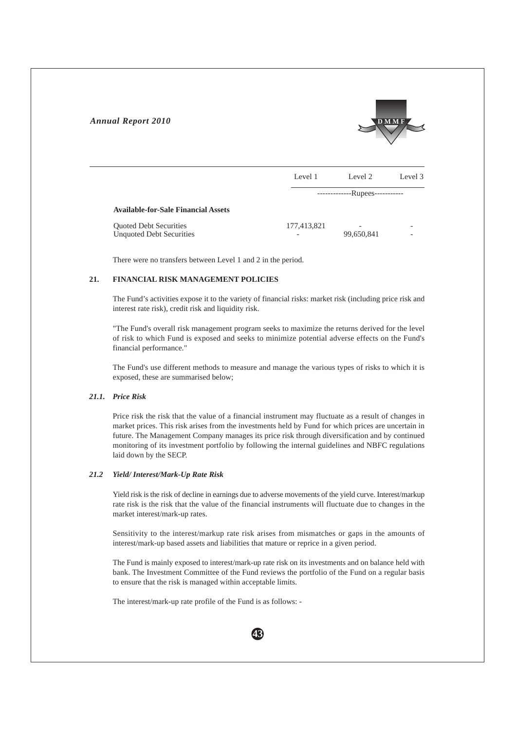

|                                                           | Level 1                                 | Level 2         | Level 3                  |
|-----------------------------------------------------------|-----------------------------------------|-----------------|--------------------------|
|                                                           | ----------                              | ---Rupees-----  | ------                   |
| <b>Available-for-Sale Financial Assets</b>                |                                         |                 |                          |
| Quoted Debt Securities<br><b>Unquoted Debt Securities</b> | 177,413,821<br>$\overline{\phantom{0}}$ | -<br>99,650,841 | $\overline{\phantom{a}}$ |

There were no transfers between Level 1 and 2 in the period.

#### **21. FINANCIAL RISK MANAGEMENT POLICIES**

The Fund's activities expose it to the variety of financial risks: market risk (including price risk and interest rate risk), credit risk and liquidity risk.

"The Fund's overall risk management program seeks to maximize the returns derived for the level of risk to which Fund is exposed and seeks to minimize potential adverse effects on the Fund's financial performance."

The Fund's use different methods to measure and manage the various types of risks to which it is exposed, these are summarised below;

#### *21.1. Price Risk*

Price risk the risk that the value of a financial instrument may fluctuate as a result of changes in market prices. This risk arises from the investments held by Fund for which prices are uncertain in future. The Management Company manages its price risk through diversification and by continued monitoring of its investment portfolio by following the internal guidelines and NBFC regulations laid down by the SECP.

#### *21.2 Yield/ Interest/Mark-Up Rate Risk*

Yield risk is the risk of decline in earnings due to adverse movements of the yield curve. Interest/markup rate risk is the risk that the value of the financial instruments will fluctuate due to changes in the market interest/mark-up rates.

Sensitivity to the interest/markup rate risk arises from mismatches or gaps in the amounts of interest/mark-up based assets and liabilities that mature or reprice in a given period.

The Fund is mainly exposed to interest/mark-up rate risk on its investments and on balance held with bank. The Investment Committee of the Fund reviews the portfolio of the Fund on a regular basis to ensure that the risk is managed within acceptable limits.

The interest/mark-up rate profile of the Fund is as follows: -

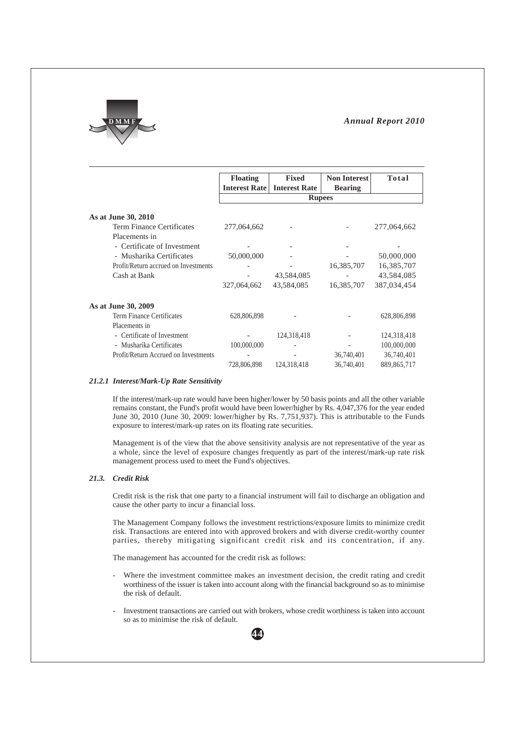

|                                      | <b>Floating</b>      | <b>Fixed</b>         | <b>Non Interest</b> | <b>Total</b>  |
|--------------------------------------|----------------------|----------------------|---------------------|---------------|
|                                      | <b>Interest Rate</b> | <b>Interest Rate</b> | <b>Bearing</b>      |               |
|                                      |                      |                      | <b>Rupees</b>       |               |
|                                      |                      |                      |                     |               |
| As at June 30, 2010                  |                      |                      |                     |               |
| Term Finance Certificates            | 277,064,662          |                      |                     | 277,064,662   |
| Placements in                        |                      |                      |                     |               |
| - Certificate of Investment          |                      |                      |                     |               |
| - Musharika Certificates             | 50,000,000           |                      |                     | 50,000,000    |
| Profit/Return accrued on Investments |                      |                      | 16,385,707          | 16,385,707    |
| Cash at Bank                         |                      | 43,584,085           |                     | 43,584,085    |
|                                      | 327,064,662          | 43,584,085           | 16,385,707          | 387,034,454   |
| As at June 30, 2009                  |                      |                      |                     |               |
| Term Finance Certificates            | 628,806,898          |                      |                     | 628,806,898   |
| Placements in                        |                      |                      |                     |               |
| - Certificate of Investment          |                      | 124,318,418          |                     | 124,318,418   |
| - Musharika Certificates             | 100,000,000          |                      |                     | 100,000,000   |
| Profit/Return Accrued on Investments |                      |                      | 36,740,401          | 36,740,401    |
|                                      | 728,806,898          | 124,318,418          | 36,740,401          | 889, 865, 717 |
|                                      |                      |                      |                     |               |

#### *21.2.1 Interest/Mark-Up Rate Sensitivity*

If the interest/mark-up rate would have been higher/lower by 50 basis points and all the other variable remains constant, the Fund's profit would have been lower/higher by Rs. 4,047,376 for the year ended June 30, 2010 (June 30, 2009: lower/higher by Rs. 7,751,937). This is attributable to the Funds exposure to interest/mark-up rates on its floating rate securities.

Management is of the view that the above sensitivity analysis are not representative of the year as a whole, since the level of exposure changes frequently as part of the interest/mark-up rate risk management process used to meet the Fund's objectives.

#### *21.3. Credit Risk*

Credit risk is the risk that one party to a financial instrument will fail to discharge an obligation and cause the other party to incur a financial loss.

The Management Company follows the investment restrictions/exposure limits to minimize credit risk. Transactions are entered into with approved brokers and with diverse credit-worthy counter parties, thereby mitigating significant credit risk and its concentration, if any.

The management has accounted for the credit risk as follows:

- Where the investment committee makes an investment decision, the credit rating and credit worthiness of the issuer is taken into account along with the financial background so as to minimise the risk of default.
- Investment transactions are carried out with brokers, whose credit worthiness is taken into account so as to minimise the risk of default.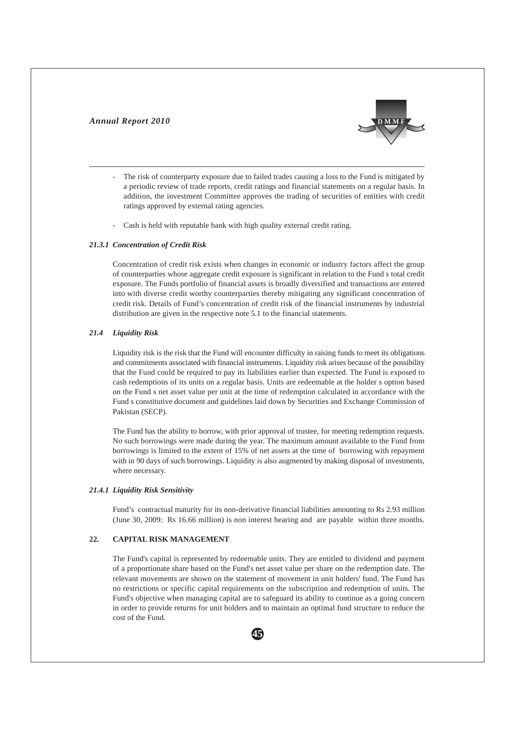

- The risk of counterparty exposure due to failed trades causing a loss to the Fund is mitigated by a periodic review of trade reports, credit ratings and financial statements on a regular basis. In addition, the investment Committee approves the trading of securities of entities with credit ratings approved by external rating agencies.
- Cash is held with reputable bank with high quality external credit rating.

#### *21.3.1 Concentration of Credit Risk*

Concentration of credit risk exists when changes in economic or industry factors affect the group of counterparties whose aggregate credit exposure is significant in relation to the Fund s total credit exposure. The Funds portfolio of financial assets is broadly diversified and transactions are entered into with diverse credit worthy counterparties thereby mitigating any significant concentration of credit risk. Details of Fund's concentration of credit risk of the financial instruments by industrial distribution are given in the respective note 5.1 to the financial statements.

#### *21.4 Liquidity Risk*

Liquidity risk is the risk that the Fund will encounter difficulty in raising funds to meet its obligations and commitments associated with financial instruments. Liquidity risk arises because of the possibility that the Fund could be required to pay its liabilities earlier than expected. The Fund is exposed to cash redemptions of its units on a regular basis. Units are redeemable at the holder s option based on the Fund s net asset value per unit at the time of redemption calculated in accordance with the Fund s constitutive document and guidelines laid down by Securities and Exchange Commission of Pakistan (SECP).

The Fund has the ability to borrow, with prior approval of trustee, for meeting redemption requests. No such borrowings were made during the year. The maximum amount available to the Fund from borrowings is limited to the extent of 15% of net assets at the time of borrowing with repayment with in 90 days of such borrowings. Liquidity is also augmented by making disposal of investments, where necessary.

#### *21.4.1 Liquidity Risk Sensitivity*

Fund's contractual maturity for its non-derivative financial liabilities amounting to Rs 2.93 million (June 30, 2009: Rs 16.66 million) is non interest bearing and are payable within three months.

### **22. CAPITAL RISK MANAGEMENT**

The Fund's capital is represented by redeemable units. They are entitled to dividend and payment of a proportionate share based on the Fund's net asset value per share on the redemption date. The relevant movements are shown on the statement of movement in unit holders' fund. The Fund has no restrictions or specific capital requirements on the subscription and redemption of units. The Fund's objective when managing capital are to safeguard its ability to continue as a going concern in order to provide returns for unit holders and to maintain an optimal fund structure to reduce the cost of the Fund.

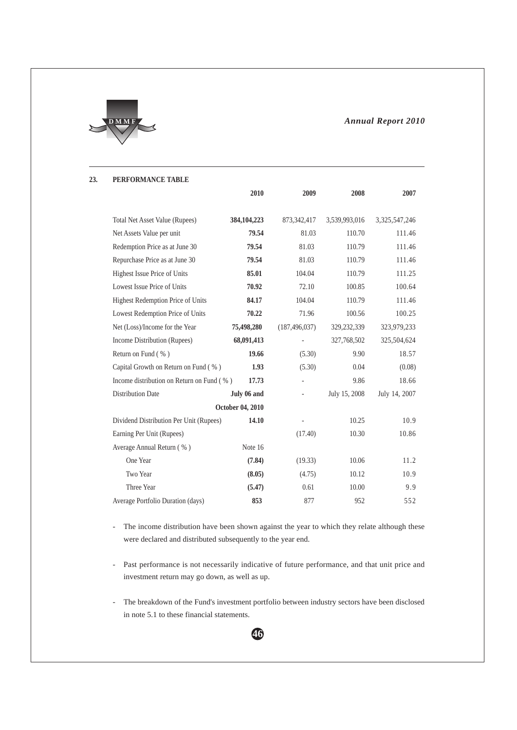

#### **23. PERFORMANCE TABLE**

|                                           | 2010             | 2009                     | 2008          | 2007          |
|-------------------------------------------|------------------|--------------------------|---------------|---------------|
| Total Net Asset Value (Rupees)            | 384, 104, 223    | 873, 342, 417            | 3,539,993,016 | 3,325,547,246 |
| Net Assets Value per unit                 | 79.54            | 81.03                    | 110.70        | 111.46        |
| Redemption Price as at June 30            | 79.54            | 81.03                    | 110.79        | 111.46        |
| Repurchase Price as at June 30            | 79.54            | 81.03                    | 110.79        | 111.46        |
| Highest Issue Price of Units              | 85.01            | 104.04                   | 110.79        | 111.25        |
| Lowest Issue Price of Units               | 70.92            | 72.10                    | 100.85        | 100.64        |
| Highest Redemption Price of Units         | 84.17            | 104.04                   | 110.79        | 111.46        |
| Lowest Redemption Price of Units          | 70.22            | 71.96                    | 100.56        | 100.25        |
| Net (Loss)/Income for the Year            | 75,498,280       | (187, 496, 037)          | 329, 232, 339 | 323,979,233   |
| Income Distribution (Rupees)              | 68,091,413       |                          | 327,768,502   | 325,504,624   |
| Return on Fund (%)                        | 19.66            | (5.30)                   | 9.90          | 18.57         |
| Capital Growth on Return on Fund (%)      | 1.93             | (5.30)                   | 0.04          | (0.08)        |
| Income distribution on Return on Fund (%) | 17.73            | $\overline{\phantom{0}}$ | 9.86          | 18.66         |
| <b>Distribution Date</b>                  | July 06 and      | $\frac{1}{2}$            | July 15, 2008 | July 14, 2007 |
|                                           | October 04, 2010 |                          |               |               |
| Dividend Distribution Per Unit (Rupees)   | 14.10            | $\overline{\phantom{0}}$ | 10.25         | 10.9          |
| Earning Per Unit (Rupees)                 |                  | (17.40)                  | 10.30         | 10.86         |
| Average Annual Return (%)                 | Note 16          |                          |               |               |
| One Year                                  | (7.84)           | (19.33)                  | 10.06         | 11.2          |
| Two Year                                  | (8.05)           | (4.75)                   | 10.12         | 10.9          |
| Three Year                                | (5.47)           | 0.61                     | 10.00         | 9.9           |
| Average Portfolio Duration (days)         | 853              | 877                      | 952           | 552           |

- The income distribution have been shown against the year to which they relate although these were declared and distributed subsequently to the year end.

- Past performance is not necessarily indicative of future performance, and that unit price and investment return may go down, as well as up.

- The breakdown of the Fund's investment portfolio between industry sectors have been disclosed in note 5.1 to these financial statements.

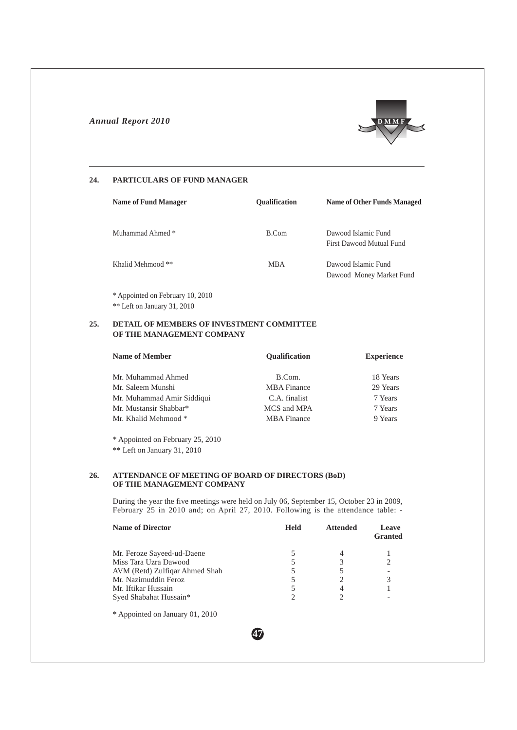

#### **24. PARTICULARS OF FUND MANAGER**

| <b>Name of Fund Manager</b> | <b>Qualification</b> | <b>Name of Other Funds Managed</b>              |
|-----------------------------|----------------------|-------------------------------------------------|
| Muhammad Ahmed *            | B.Com                | Dawood Islamic Fund<br>First Dawood Mutual Fund |
| Khalid Mehmood **           | <b>MBA</b>           | Dawood Islamic Fund<br>Dawood Money Market Fund |

\* Appointed on February 10, 2010 \*\* Left on January 31, 2010

### **25. DETAIL OF MEMBERS OF INVESTMENT COMMITTEE OF THE MANAGEMENT COMPANY**

| <b>Name of Member</b>      | <b>Qualification</b> | <b>Experience</b> |
|----------------------------|----------------------|-------------------|
| Mr. Muhammad Ahmed         | B.Com.               | 18 Years          |
| Mr. Saleem Munshi          | <b>MBA</b> Finance   | 29 Years          |
| Mr. Muhammad Amir Siddiqui | C.A. finalist        | 7 Years           |
| Mr. Mustansir Shabbar*     | MCS and MPA          | 7 Years           |
| Mr. Khalid Mehmood *       | <b>MBA</b> Finance   | 9 Years           |

\* Appointed on February 25, 2010 \*\* Left on January 31, 2010

#### **26. ATTENDANCE OF MEETING OF BOARD OF DIRECTORS (BoD) OF THE MANAGEMENT COMPANY**

During the year the five meetings were held on July 06, September 15, October 23 in 2009, February 25 in 2010 and; on April 27, 2010. Following is the attendance table: -

| <b>Name of Director</b>        | <b>Held</b> | <b>Attended</b> | Leave<br><b>Granted</b> |
|--------------------------------|-------------|-----------------|-------------------------|
| Mr. Feroze Sayeed-ud-Daene     |             |                 |                         |
| Miss Tara Uzra Dawood          |             |                 |                         |
| AVM (Retd) Zulfigar Ahmed Shah |             |                 |                         |
| Mr. Nazimuddin Feroz           |             |                 |                         |
| Mr. Iftikar Hussain            |             |                 |                         |
| Syed Shabahat Hussain*         |             |                 |                         |

\* Appointed on January 01, 2010